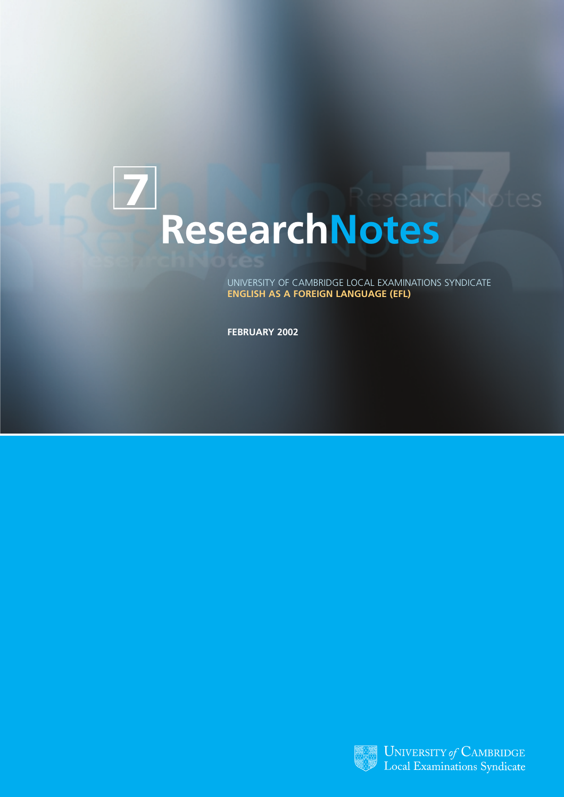# **7 ResearchNotes**

UNIVERSITY OF CAMBRIDGE LOCAL EXAMINATIONS SYNDICATE **ENGLISH AS A FOREIGN LANGUAGE (EFL)**

**FEBRUARY 2002**

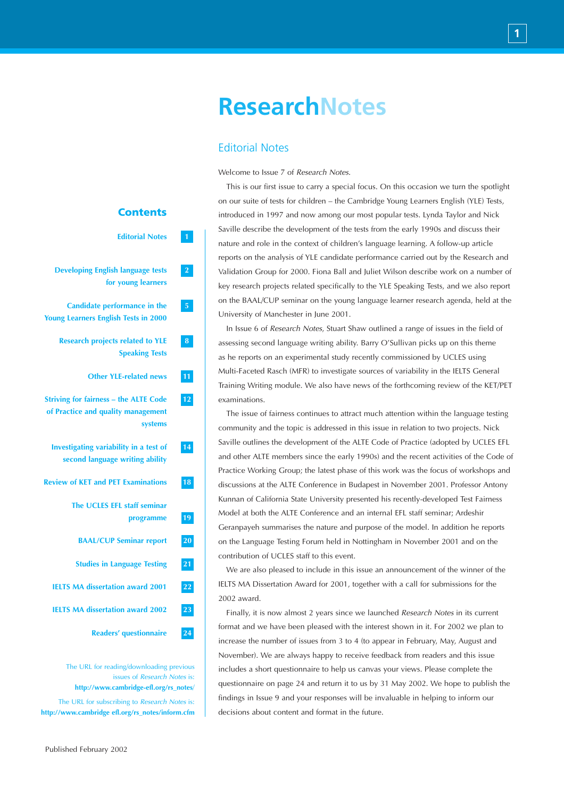# **ResearchNotes**

# Editorial Notes

Welcome to Issue 7 of *Research Notes*.

This is our first issue to carry a special focus. On this occasion we turn the spotlight on our suite of tests for children – the Cambridge Young Learners English (YLE) Tests, introduced in 1997 and now among our most popular tests. Lynda Taylor and Nick Saville describe the development of the tests from the early 1990s and discuss their nature and role in the context of children's language learning. A follow-up article reports on the analysis of YLE candidate performance carried out by the Research and Validation Group for 2000. Fiona Ball and Juliet Wilson describe work on a number of key research projects related specifically to the YLE Speaking Tests, and we also report on the BAAL/CUP seminar on the young language learner research agenda, held at the University of Manchester in June 2001.

In Issue 6 of *Research Notes*, Stuart Shaw outlined a range of issues in the field of assessing second language writing ability. Barry O'Sullivan picks up on this theme as he reports on an experimental study recently commissioned by UCLES using Multi-Faceted Rasch (MFR) to investigate sources of variability in the IELTS General Training Writing module. We also have news of the forthcoming review of the KET/PET examinations.

The issue of fairness continues to attract much attention within the language testing community and the topic is addressed in this issue in relation to two projects. Nick Saville outlines the development of the ALTE Code of Practice (adopted by UCLES EFL and other ALTE members since the early 1990s) and the recent activities of the Code of Practice Working Group; the latest phase of this work was the focus of workshops and discussions at the ALTE Conference in Budapest in November 2001. Professor Antony Kunnan of California State University presented his recently-developed Test Fairness Model at both the ALTE Conference and an internal EFL staff seminar; Ardeshir Geranpayeh summarises the nature and purpose of the model. In addition he reports on the Language Testing Forum held in Nottingham in November 2001 and on the contribution of UCLES staff to this event.

We are also pleased to include in this issue an announcement of the winner of the IELTS MA Dissertation Award for 2001, together with a call for submissions for the 2002 award.

Finally, it is now almost 2 years since we launched *Research Notes* in its current format and we have been pleased with the interest shown in it. For 2002 we plan to increase the number of issues from 3 to 4 (to appear in February, May, August and November). We are always happy to receive feedback from readers and this issue includes a short questionnaire to help us canvas your views. Please complete the questionnaire on page 24 and return it to us by 31 May 2002. We hope to publish the findings in Issue 9 and your responses will be invaluable in helping to inform our decisions about content and format in the future.

# **Editorial Notes 1**

**Contents**

- **Developing English language tests 2 for young learners**
- **Candidate performance in the 5 Young Learners English Tests in 2000**
	- **Research projects related to YLE 8 Speaking Tests**
		- **Other YLE-related news 11**
- **Striving for fairness the ALTE Code 12 of Practice and quality management systems**
- **Investigating variability in a test of 14 second language writing ability**
- **Review of KET and PET Examinations 18**
	- **The UCLES EFL staff seminar programme 19**
	- **BAAL/CUP Seminar report 20**
	- **Studies in Language Testing 21**
	- **IELTS MA dissertation award 2001 22**
	- **IELTS MA dissertation award 2002 23**
		- **Readers' questionnaire 24**

The URL for reading/downloading previous issues of *Research Notes* is: **http://www.cambridge-efl.org/rs\_notes**/ The URL for subscribing to *Research Notes* is: **http://www.cambridge efl.org/rs\_notes/inform.cfm**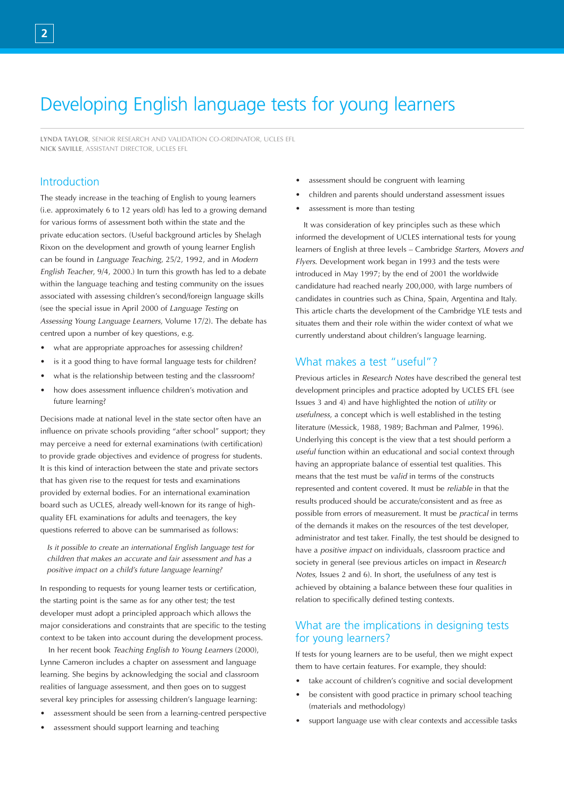# Developing English language tests for young learners

**LYNDA TAYLOR**, SENIOR RESEARCH AND VALIDATION CO-ORDINATOR, UCLES EFL **NICK SAVILLE**, ASSISTANT DIRECTOR, UCLES EFL

# Introduction

The steady increase in the teaching of English to young learners (i.e. approximately 6 to 12 years old) has led to a growing demand for various forms of assessment both within the state and the private education sectors. (Useful background articles by Shelagh Rixon on the development and growth of young learner English can be found in *Language Teaching*, 25/2, 1992, and in *Modern English Teacher*, 9/4, 2000.) In turn this growth has led to a debate within the language teaching and testing community on the issues associated with assessing children's second/foreign language skills (see the special issue in April 2000 of *Language Testing* on *Assessing Young Language Learners*, Volume 17/2). The debate has centred upon a number of key questions, e.g.

- what are appropriate approaches for assessing children?
- is it a good thing to have formal language tests for children?
- what is the relationship between testing and the classroom?
- how does assessment influence children's motivation and future learning?

Decisions made at national level in the state sector often have an influence on private schools providing "after school" support; they may perceive a need for external examinations (with certification) to provide grade objectives and evidence of progress for students. It is this kind of interaction between the state and private sectors that has given rise to the request for tests and examinations provided by external bodies. For an international examination board such as UCLES, already well-known for its range of highquality EFL examinations for adults and teenagers, the key questions referred to above can be summarised as follows:

*Is it possible to create an international English language test for children that makes an accurate and fair assessment and has a positive impact on a child's future language learning?* 

In responding to requests for young learner tests or certification, the starting point is the same as for any other test; the test developer must adopt a principled approach which allows the major considerations and constraints that are specific to the testing context to be taken into account during the development process.

In her recent book *Teaching English to Young Learners* (2000), Lynne Cameron includes a chapter on assessment and language learning. She begins by acknowledging the social and classroom realities of language assessment, and then goes on to suggest several key principles for assessing children's language learning:

- assessment should be seen from a learning-centred perspective
- assessment should support learning and teaching
- assessment should be congruent with learning
- children and parents should understand assessment issues
- assessment is more than testing

It was consideration of key principles such as these which informed the development of UCLES international tests for young learners of English at three levels – Cambridge *Starters, Movers and Flyers*. Development work began in 1993 and the tests were introduced in May 1997; by the end of 2001 the worldwide candidature had reached nearly 200,000, with large numbers of candidates in countries such as China, Spain, Argentina and Italy. This article charts the development of the Cambridge YLE tests and situates them and their role within the wider context of what we currently understand about children's language learning.

### What makes a test "useful"?

Previous articles in *Research Notes* have described the general test development principles and practice adopted by UCLES EFL (see Issues 3 and 4) and have highlighted the notion of *utility* or *usefulness*, a concept which is well established in the testing literature (Messick, 1988, 1989; Bachman and Palmer, 1996). Underlying this concept is the view that a test should perform a *useful* function within an educational and social context through having an appropriate balance of essential test qualities. This means that the test must be *valid* in terms of the constructs represented and content covered. It must be *reliable* in that the results produced should be accurate/consistent and as free as possible from errors of measurement. It must be *practical* in terms of the demands it makes on the resources of the test developer, administrator and test taker. Finally, the test should be designed to have a *positive impact* on individuals, classroom practice and society in general (see previous articles on impact in *Research Notes*, Issues 2 and 6). In short, the usefulness of any test is achieved by obtaining a balance between these four qualities in relation to specifically defined testing contexts.

# What are the implications in designing tests for young learners?

If tests for young learners are to be useful, then we might expect them to have certain features. For example, they should:

- take account of children's cognitive and social development
- be consistent with good practice in primary school teaching (materials and methodology)
- support language use with clear contexts and accessible tasks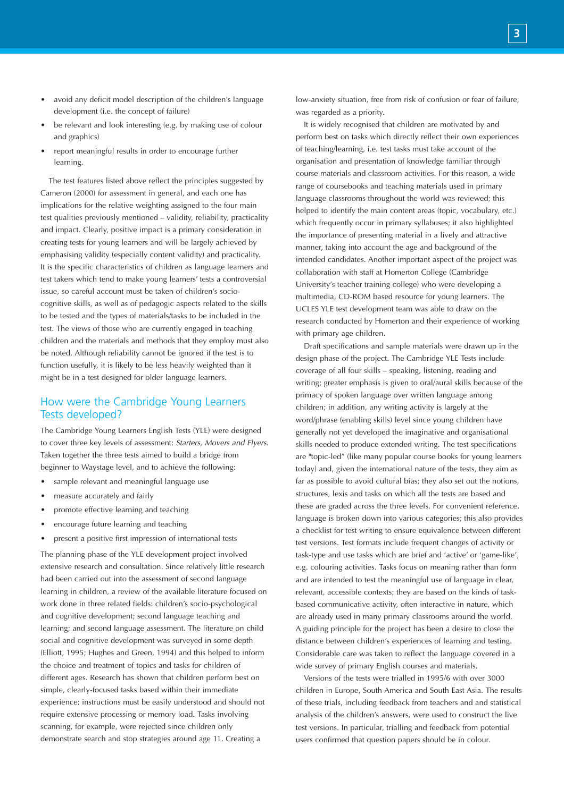- avoid any deficit model description of the children's language development (i.e. the concept of failure)
- be relevant and look interesting (e.g. by making use of colour and graphics)
- report meaningful results in order to encourage further learning.

The test features listed above reflect the principles suggested by Cameron (2000) for assessment in general, and each one has implications for the relative weighting assigned to the four main test qualities previously mentioned – validity, reliability, practicality and impact. Clearly, positive impact is a primary consideration in creating tests for young learners and will be largely achieved by emphasising validity (especially content validity) and practicality. It is the specific characteristics of children as language learners and test takers which tend to make young learners' tests a controversial issue, so careful account must be taken of children's sociocognitive skills, as well as of pedagogic aspects related to the skills to be tested and the types of materials/tasks to be included in the test. The views of those who are currently engaged in teaching children and the materials and methods that they employ must also be noted. Although reliability cannot be ignored if the test is to function usefully, it is likely to be less heavily weighted than it might be in a test designed for older language learners.

### How were the Cambridge Young Learners Tests developed?

The Cambridge Young Learners English Tests (YLE) were designed to cover three key levels of assessment: *Starters, Movers and Flyers*. Taken together the three tests aimed to build a bridge from beginner to Waystage level, and to achieve the following:

- sample relevant and meaningful language use
- measure accurately and fairly
- promote effective learning and teaching
- encourage future learning and teaching
- present a positive first impression of international tests

The planning phase of the YLE development project involved extensive research and consultation. Since relatively little research had been carried out into the assessment of second language learning in children, a review of the available literature focused on work done in three related fields: children's socio-psychological and cognitive development; second language teaching and learning; and second language assessment. The literature on child social and cognitive development was surveyed in some depth (Elliott, 1995; Hughes and Green, 1994) and this helped to inform the choice and treatment of topics and tasks for children of different ages. Research has shown that children perform best on simple, clearly-focused tasks based within their immediate experience; instructions must be easily understood and should not require extensive processing or memory load. Tasks involving scanning, for example, were rejected since children only demonstrate search and stop strategies around age 11. Creating a

low-anxiety situation, free from risk of confusion or fear of failure, was regarded as a priority.

It is widely recognised that children are motivated by and perform best on tasks which directly reflect their own experiences of teaching/learning, i.e. test tasks must take account of the organisation and presentation of knowledge familiar through course materials and classroom activities. For this reason, a wide range of coursebooks and teaching materials used in primary language classrooms throughout the world was reviewed; this helped to identify the main content areas (topic, vocabulary, etc.) which frequently occur in primary syllabuses; it also highlighted the importance of presenting material in a lively and attractive manner, taking into account the age and background of the intended candidates. Another important aspect of the project was collaboration with staff at Homerton College (Cambridge University's teacher training college) who were developing a multimedia, CD-ROM based resource for young learners. The UCLES YLE test development team was able to draw on the research conducted by Homerton and their experience of working with primary age children.

Draft specifications and sample materials were drawn up in the design phase of the project. The Cambridge YLE Tests include coverage of all four skills – speaking, listening, reading and writing; greater emphasis is given to oral/aural skills because of the primacy of spoken language over written language among children; in addition, any writing activity is largely at the word/phrase (enabling skills) level since young children have generally not yet developed the imaginative and organisational skills needed to produce extended writing. The test specifications are "topic-led" (like many popular course books for young learners today) and, given the international nature of the tests, they aim as far as possible to avoid cultural bias; they also set out the notions, structures, lexis and tasks on which all the tests are based and these are graded across the three levels. For convenient reference, language is broken down into various categories; this also provides a checklist for test writing to ensure equivalence between different test versions. Test formats include frequent changes of activity or task-type and use tasks which are brief and 'active' or 'game-like', e.g. colouring activities. Tasks focus on meaning rather than form and are intended to test the meaningful use of language in clear, relevant, accessible contexts; they are based on the kinds of taskbased communicative activity, often interactive in nature, which are already used in many primary classrooms around the world. A guiding principle for the project has been a desire to close the distance between children's experiences of learning and testing. Considerable care was taken to reflect the language covered in a wide survey of primary English courses and materials.

Versions of the tests were trialled in 1995/6 with over 3000 children in Europe, South America and South East Asia. The results of these trials, including feedback from teachers and and statistical analysis of the children's answers, were used to construct the live test versions. In particular, trialling and feedback from potential users confirmed that question papers should be in colour.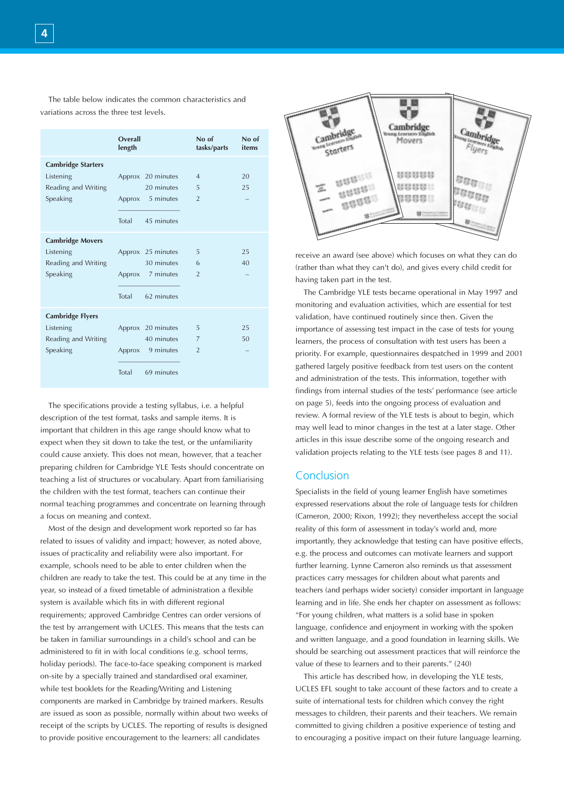The table below indicates the common characteristics and variations across the three test levels.

|                                                                           | Overall<br>length |                                                                   | No of<br>tasks/parts                  | No of<br>items |
|---------------------------------------------------------------------------|-------------------|-------------------------------------------------------------------|---------------------------------------|----------------|
| <b>Cambridge Starters</b><br>Listening<br>Reading and Writing<br>Speaking | Total             | Approx 20 minutes<br>20 minutes<br>Approx 5 minutes<br>45 minutes | $\overline{4}$<br>5<br>$\overline{2}$ | 20<br>25       |
| <b>Cambridge Movers</b><br>Listening<br>Reading and Writing<br>Speaking   | Total             | Approx 25 minutes<br>30 minutes<br>Approx 7 minutes<br>62 minutes | 5<br>6<br>$\overline{2}$              | 25<br>40       |
| <b>Cambridge Flyers</b><br>Listening<br>Reading and Writing<br>Speaking   | Total             | Approx 20 minutes<br>40 minutes<br>Approx 9 minutes<br>69 minutes | 5<br>7<br>$\overline{2}$              | 25<br>50       |

The specifications provide a testing syllabus, i.e. a helpful description of the test format, tasks and sample items. It is important that children in this age range should know what to expect when they sit down to take the test, or the unfamiliarity could cause anxiety. This does not mean, however, that a teacher preparing children for Cambridge YLE Tests should concentrate on teaching a list of structures or vocabulary. Apart from familiarising the children with the test format, teachers can continue their normal teaching programmes and concentrate on learning through a focus on meaning and context.

Most of the design and development work reported so far has related to issues of validity and impact; however, as noted above, issues of practicality and reliability were also important. For example, schools need to be able to enter children when the children are ready to take the test. This could be at any time in the year, so instead of a fixed timetable of administration a flexible system is available which fits in with different regional requirements; approved Cambridge Centres can order versions of the test by arrangement with UCLES. This means that the tests can be taken in familiar surroundings in a child's school and can be administered to fit in with local conditions (e.g. school terms, holiday periods). The face-to-face speaking component is marked on-site by a specially trained and standardised oral examiner, while test booklets for the Reading/Writing and Listening components are marked in Cambridge by trained markers. Results are issued as soon as possible, normally within about two weeks of receipt of the scripts by UCLES. The reporting of results is designed to provide positive encouragement to the learners: all candidates



receive an award (see above) which focuses on what they can do (rather than what they can't do), and gives every child credit for having taken part in the test.

The Cambridge YLE tests became operational in May 1997 and monitoring and evaluation activities, which are essential for test validation, have continued routinely since then. Given the importance of assessing test impact in the case of tests for young learners, the process of consultation with test users has been a priority. For example, questionnaires despatched in 1999 and 2001 gathered largely positive feedback from test users on the content and administration of the tests. This information, together with findings from internal studies of the tests' performance (see article on page 5), feeds into the ongoing process of evaluation and review. A formal review of the YLE tests is about to begin, which may well lead to minor changes in the test at a later stage. Other articles in this issue describe some of the ongoing research and validation projects relating to the YLE tests (see pages 8 and 11).

### Conclusion

Specialists in the field of young learner English have sometimes expressed reservations about the role of language tests for children (Cameron, 2000; Rixon, 1992); they nevertheless accept the social reality of this form of assessment in today's world and, more importantly, they acknowledge that testing can have positive effects, e.g. the process and outcomes can motivate learners and support further learning. Lynne Cameron also reminds us that assessment practices carry messages for children about what parents and teachers (and perhaps wider society) consider important in language learning and in life. She ends her chapter on assessment as follows: "For young children, what matters is a solid base in spoken language, confidence and enjoyment in working with the spoken and written language, and a good foundation in learning skills. We should be searching out assessment practices that will reinforce the value of these to learners and to their parents." (240)

This article has described how, in developing the YLE tests, UCLES EFL sought to take account of these factors and to create a suite of international tests for children which convey the right messages to children, their parents and their teachers. We remain committed to giving children a positive experience of testing and to encouraging a positive impact on their future language learning.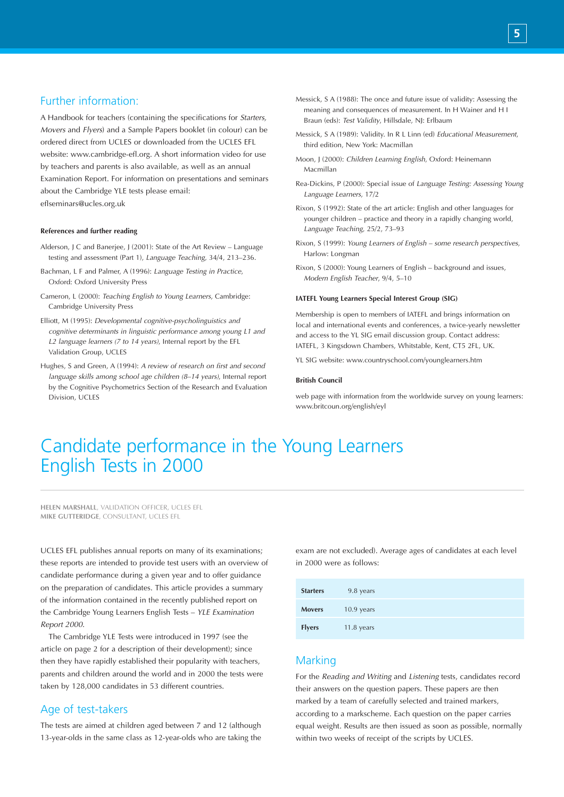# Further information:

A Handbook for teachers (containing the specifications for *Starters, Movers* and *Flyers*) and a Sample Papers booklet (in colour) can be ordered direct from UCLES or downloaded from the UCLES EFL website: www.cambridge-efl.org. A short information video for use by teachers and parents is also available, as well as an annual Examination Report. For information on presentations and seminars about the Cambridge YLE tests please email: eflseminars@ucles.org.uk

#### **References and further reading**

- Alderson, J C and Banerjee, J (2001): State of the Art Review Language testing and assessment (Part 1), *Language Teaching*, 34/4, 213–236.
- Bachman, L F and Palmer, A (1996): *Language Testing in Practice*, Oxford: Oxford University Press
- Cameron, L (2000): *Teaching English to Young Learners*, Cambridge: Cambridge University Press
- Elliott, M (1995): *Developmental cognitive-psycholinguistics and cognitive determinants in linguistic performance among young L1 and L2 language learners (7 to 14 years)*, Internal report by the EFL Validation Group, UCLES
- Hughes, S and Green, A (1994): *A review of research on first and second language skills among school age children (8–14 years)*, Internal report by the Cognitive Psychometrics Section of the Research and Evaluation Division, UCLES
- Messick, S A (1988): The once and future issue of validity: Assessing the meaning and consequences of measurement. In H Wainer and H I Braun (eds): *Test Validity*, Hillsdale, NJ: Erlbaum
- Messick, S A (1989): Validity. In R L Linn (ed) *Educational Measurement*, third edition, New York: Macmillan
- Moon, J (2000): *Children Learning English*, Oxford: Heinemann Macmillan
- Rea-Dickins, P (2000): Special issue of *Language Testing: Assessing Young Language Learners*, 17/2
- Rixon, S (1992): State of the art article: English and other languages for younger children – practice and theory in a rapidly changing world, *Language Teaching*, 25/2, 73–93
- Rixon, S (1999): *Young Learners of English some research perspectives*, Harlow: Longman
- Rixon, S (2000): Young Learners of English background and issues, *Modern English Teacher*, 9/4, 5–10

#### **IATEFL Young Learners Special Interest Group (SIG)**

Membership is open to members of IATEFL and brings information on local and international events and conferences, a twice-yearly newsletter and access to the YL SIG email discussion group. Contact address: IATEFL, 3 Kingsdown Chambers, Whitstable, Kent, CT5 2FL, UK.

YL SIG website: www.countryschool.com/younglearners.htm

#### **British Council**

web page with information from the worldwide survey on young learners: www.britcoun.org/english/eyl

# Candidate performance in the Young Learners English Tests in 2000

**HELEN MARSHALL**, VALIDATION OFFICER, UCLES EFL **MIKE GUTTERIDGE**, CONSULTANT, UCLES EFL

UCLES EFL publishes annual reports on many of its examinations; these reports are intended to provide test users with an overview of candidate performance during a given year and to offer guidance on the preparation of candidates. This article provides a summary of the information contained in the recently published report on the Cambridge Young Learners English Tests – *YLE Examination Report 2000*.

The Cambridge YLE Tests were introduced in 1997 (see the article on page 2 for a description of their development); since then they have rapidly established their popularity with teachers, parents and children around the world and in 2000 the tests were taken by 128,000 candidates in 53 different countries.

# Age of test-takers

The tests are aimed at children aged between 7 and 12 (although 13-year-olds in the same class as 12-year-olds who are taking the exam are not excluded). Average ages of candidates at each level in 2000 were as follows:

| <b>Starters</b> | 9.8 years    |
|-----------------|--------------|
| <b>Movers</b>   | $10.9$ years |
| <b>Flyers</b>   | $11.8$ years |

### Marking

For the *Reading and Writing* and *Listening* tests, candidates record their answers on the question papers. These papers are then marked by a team of carefully selected and trained markers, according to a markscheme. Each question on the paper carries equal weight. Results are then issued as soon as possible, normally within two weeks of receipt of the scripts by UCLES.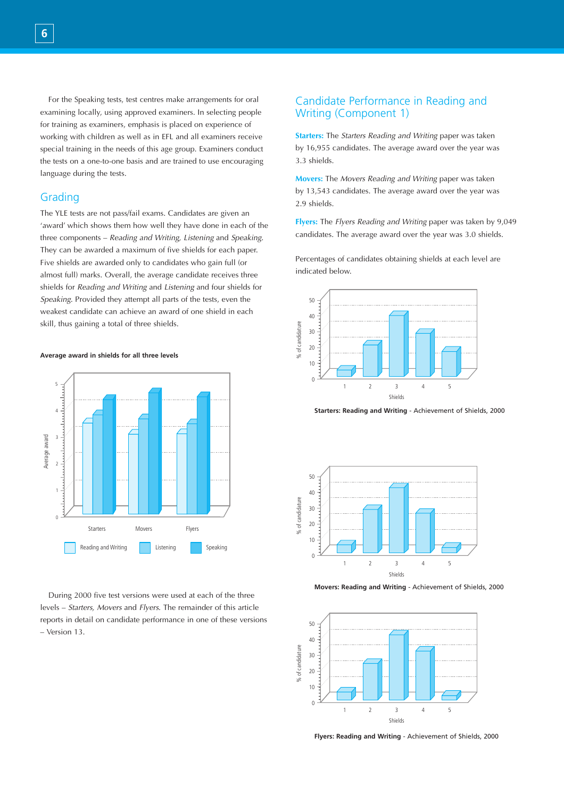For the Speaking tests, test centres make arrangements for oral examining locally, using approved examiners. In selecting people for training as examiners, emphasis is placed on experience of working with children as well as in EFL and all examiners receive special training in the needs of this age group. Examiners conduct the tests on a one-to-one basis and are trained to use encouraging language during the tests.

### Grading

The YLE tests are not pass/fail exams. Candidates are given an 'award' which shows them how well they have done in each of the three components – *Reading and Writing, Listening* and *Speaking*. They can be awarded a maximum of five shields for each paper. Five shields are awarded only to candidates who gain full (or almost full) marks. Overall, the average candidate receives three shields for *Reading and Writing* and *Listening* and four shields for *Speaking*. Provided they attempt all parts of the tests, even the weakest candidate can achieve an award of one shield in each skill, thus gaining a total of three shields.

#### **Average award in shields for all three levels**



During 2000 five test versions were used at each of the three levels – *Starters, Movers* and *Flyers*. The remainder of this article reports in detail on candidate performance in one of these versions – Version 13.

# Candidate Performance in Reading and Writing (Component 1)

**Starters:** The *Starters Reading and Writing* paper was taken by 16,955 candidates. The average award over the year was 3.3 shields.

**Movers:** The *Movers Reading and Writing* paper was taken by 13,543 candidates. The average award over the year was 2.9 shields.

**Flyers:** The *Flyers Reading and Writing* paper was taken by 9,049 candidates. The average award over the year was 3.0 shields.

Percentages of candidates obtaining shields at each level are indicated below.



**Starters: Reading and Writing** - Achievement of Shields, 2000



**Movers: Reading and Writing** - Achievement of Shields, 2000



**Flyers: Reading and Writing** - Achievement of Shields, 2000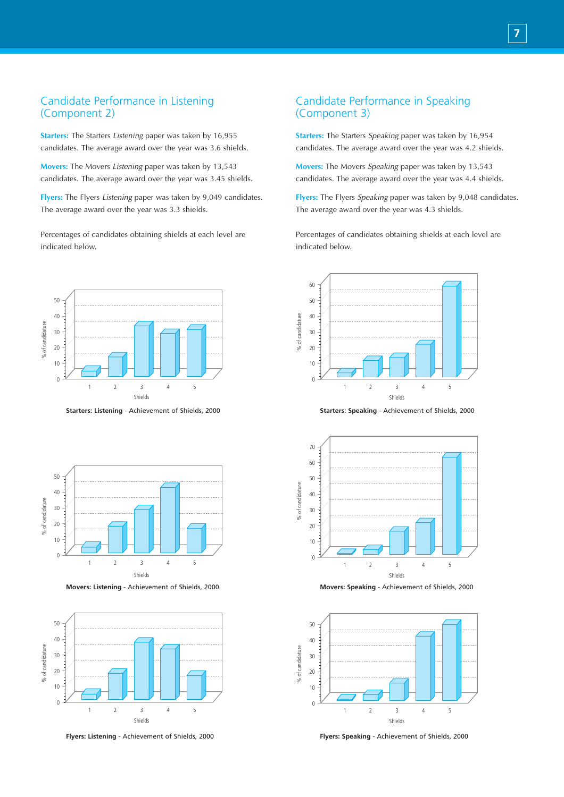# Candidate Performance in Listening (Component 2)

**Starters:** The Starters *Listening* paper was taken by 16,955 candidates. The average award over the year was 3.6 shields.

**Movers:** The Movers *Listening* paper was taken by 13,543 candidates. The average award over the year was 3.45 shields.

**Flyers:** The Flyers *Listening* paper was taken by 9,049 candidates. The average award over the year was 3.3 shields.

Percentages of candidates obtaining shields at each level are indicated below.



**Starters: Listening** - Achievement of Shields, 2000



**Movers: Listening** - Achievement of Shields, 2000



**Flyers: Listening** - Achievement of Shields, 2000

# Candidate Performance in Speaking (Component 3)

**Starters:** The Starters *Speaking* paper was taken by 16,954 candidates. The average award over the year was 4.2 shields.

**Movers:** The Movers *Speaking* paper was taken by 13,543 candidates. The average award over the year was 4.4 shields.

**Flyers:** The Flyers *Speaking* paper was taken by 9,048 candidates. The average award over the year was 4.3 shields.

Percentages of candidates obtaining shields at each level are indicated below.



**Starters: Speaking** - Achievement of Shields, 2000



**Movers: Speaking** - Achievement of Shields, 2000



**Flyers: Speaking** - Achievement of Shields, 2000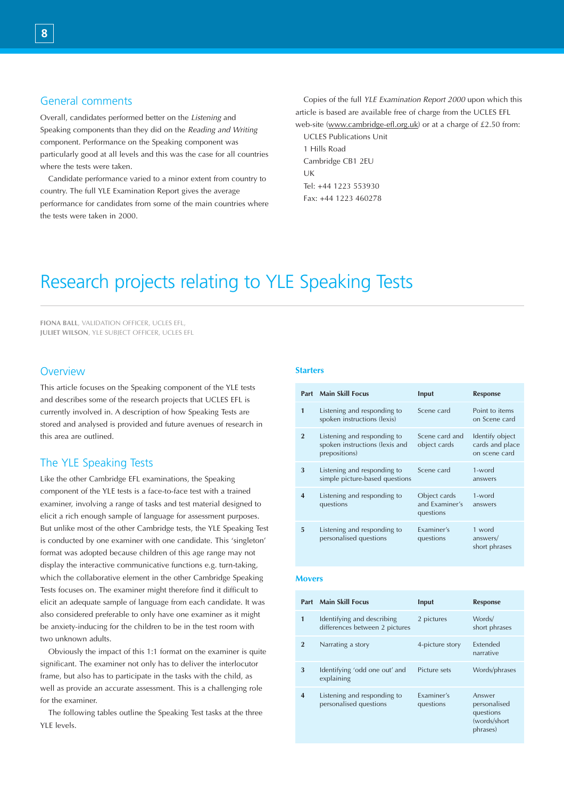### General comments

Overall, candidates performed better on the *Listening* and Speaking components than they did on the *Reading and Writing* component. Performance on the Speaking component was particularly good at all levels and this was the case for all countries where the tests were taken.

Candidate performance varied to a minor extent from country to country. The full YLE Examination Report gives the average performance for candidates from some of the main countries where the tests were taken in 2000.

Copies of the full *YLE Examination Report 2000* upon which this article is based are available free of charge from the UCLES EFL web-site (www.cambridge-efl.org.uk) or at a charge of £2.50 from:

UCLES Publications Unit 1 Hills Road Cambridge CB1 2EU UK Tel: +44 1223 553930 Fax: +44 1223 460278

# Research projects relating to YLE Speaking Tests

**FIONA BALL**, VALIDATION OFFICER, UCLES EFL, **JULIET WILSON**, YLE SUBJECT OFFICER, UCLES EFL

### **Overview**

This article focuses on the Speaking component of the YLE tests and describes some of the research projects that UCLES EFL is currently involved in. A description of how Speaking Tests are stored and analysed is provided and future avenues of research in this area are outlined.

# The YLE Speaking Tests

Like the other Cambridge EFL examinations, the Speaking component of the YLE tests is a face-to-face test with a trained examiner, involving a range of tasks and test material designed to elicit a rich enough sample of language for assessment purposes. But unlike most of the other Cambridge tests, the YLE Speaking Test is conducted by one examiner with one candidate. This 'singleton' format was adopted because children of this age range may not display the interactive communicative functions e.g. turn-taking, which the collaborative element in the other Cambridge Speaking Tests focuses on. The examiner might therefore find it difficult to elicit an adequate sample of language from each candidate. It was also considered preferable to only have one examiner as it might be anxiety-inducing for the children to be in the test room with two unknown adults.

Obviously the impact of this 1:1 format on the examiner is quite significant. The examiner not only has to deliver the interlocutor frame, but also has to participate in the tasks with the child, as well as provide an accurate assessment. This is a challenging role for the examiner.

The following tables outline the Speaking Test tasks at the three YLE levels.

#### **Starters**

|                | <b>Part Main Skill Focus</b>                                                   | Input                                       | <b>Response</b>                                     |
|----------------|--------------------------------------------------------------------------------|---------------------------------------------|-----------------------------------------------------|
| 1              | Listening and responding to<br>spoken instructions (lexis)                     | Scene card                                  | Point to items<br>on Scene card                     |
| $\overline{2}$ | Listening and responding to<br>spoken instructions (lexis and<br>prepositions) | Scene card and<br>object cards              | Identify object<br>cards and place<br>on scene card |
| 3              | Listening and responding to<br>simple picture-based questions                  | Scene card                                  | 1-word<br>answers                                   |
| 4              | Listening and responding to<br>questions                                       | Object cards<br>and Examiner's<br>questions | 1-word<br>answers                                   |
| 5              | Listening and responding to<br>personalised questions                          | Examiner's<br>questions                     | 1 word<br>answers/<br>short phrases                 |

#### **Movers**

| Part           | <b>Main Skill Focus</b>                                      | Input                   | <b>Response</b>                                                  |
|----------------|--------------------------------------------------------------|-------------------------|------------------------------------------------------------------|
| 1              | Identifying and describing<br>differences between 2 pictures | 2 pictures              | Words/<br>short phrases                                          |
| $\overline{2}$ | Narrating a story                                            | 4-picture story         | Extended<br>narrative                                            |
| 3              | Identifying 'odd one out' and<br>explaining                  | Picture sets            | Words/phrases                                                    |
| 4              | Listening and responding to<br>personalised questions        | Examiner's<br>questions | Answer<br>personalised<br>questions<br>(words/short)<br>phrases) |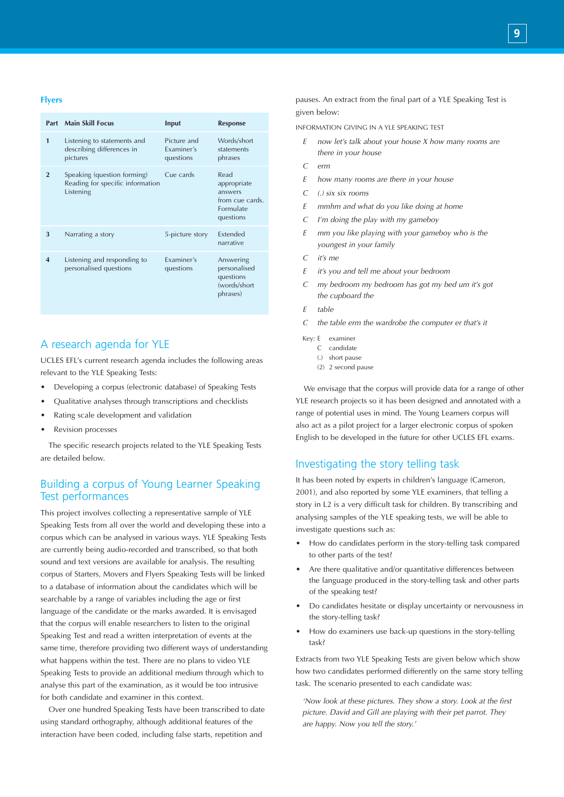#### **Flyers**

|                  | <b>Part Main Skill Focus</b>                                                 | Input                                  | <b>Response</b>                                                             |
|------------------|------------------------------------------------------------------------------|----------------------------------------|-----------------------------------------------------------------------------|
| 1                | Listening to statements and<br>describing differences in<br>pictures         | Picture and<br>Examiner's<br>questions | Words/short<br>statements<br>phrases                                        |
| $\overline{2}$   | Speaking (question forming)<br>Reading for specific information<br>Listening | Cue cards                              | Read<br>appropriate<br>answers<br>from cue cards.<br>Formulate<br>questions |
| 3                | Narrating a story                                                            | 5-picture story                        | Extended<br>narrative                                                       |
| $\boldsymbol{4}$ | Listening and responding to<br>personalised questions                        | Examiner's<br>questions                | Answering<br>personalised<br>questions<br>(words/short<br>phrases)          |

# A research agenda for YLE

UCLES EFL's current research agenda includes the following areas relevant to the YLE Speaking Tests:

- Developing a corpus (electronic database) of Speaking Tests
- Qualitative analyses through transcriptions and checklists
- Rating scale development and validation
- Revision processes

The specific research projects related to the YLE Speaking Tests are detailed below.

# Building a corpus of Young Learner Speaking Test performances

This project involves collecting a representative sample of YLE Speaking Tests from all over the world and developing these into a corpus which can be analysed in various ways. YLE Speaking Tests are currently being audio-recorded and transcribed, so that both sound and text versions are available for analysis. The resulting corpus of Starters, Movers and Flyers Speaking Tests will be linked to a database of information about the candidates which will be searchable by a range of variables including the age or first language of the candidate or the marks awarded. It is envisaged that the corpus will enable researchers to listen to the original Speaking Test and read a written interpretation of events at the same time, therefore providing two different ways of understanding what happens within the test. There are no plans to video YLE Speaking Tests to provide an additional medium through which to analyse this part of the examination, as it would be too intrusive for both candidate and examiner in this context.

Over one hundred Speaking Tests have been transcribed to date using standard orthography, although additional features of the interaction have been coded, including false starts, repetition and

pauses. An extract from the final part of a YLE Speaking Test is given below:

INFORMATION GIVING IN A YLE SPEAKING TEST

- *E now let's talk about your house X how many rooms are there in your house*
- *C erm*
- *E how many rooms are there in your house*
- *C (.) six six rooms*
- *E mmhm and what do you like doing at home*
- *C I'm doing the play with my gameboy*
- *E mm you like playing with your gameboy who is the youngest in your family*
- *C it's me*
- *E it's you and tell me about your bedroom*
- *C my bedroom my bedroom has got my bed um it's got the cupboard the*
- *E table*
- *C the table erm the wardrobe the computer er that's it*
- Key: E examiner
	- C candidate
	- (.) short pause
	- (2) 2 second pause

We envisage that the corpus will provide data for a range of other YLE research projects so it has been designed and annotated with a range of potential uses in mind. The Young Learners corpus will also act as a pilot project for a larger electronic corpus of spoken English to be developed in the future for other UCLES EFL exams.

## Investigating the story telling task

It has been noted by experts in children's language (Cameron, 2001), and also reported by some YLE examiners, that telling a story in L2 is a very difficult task for children. By transcribing and analysing samples of the YLE speaking tests, we will be able to investigate questions such as:

- How do candidates perform in the story-telling task compared to other parts of the test?
- Are there qualitative and/or quantitative differences between the language produced in the story-telling task and other parts of the speaking test?
- Do candidates hesitate or display uncertainty or nervousness in the story-telling task?
- How do examiners use back-up questions in the story-telling task?

Extracts from two YLE Speaking Tests are given below which show how two candidates performed differently on the same story telling task. The scenario presented to each candidate was:

*'Now look at these pictures. They show a story. Look at the first picture. David and Gill are playing with their pet parrot. They are happy. Now you tell the story.'*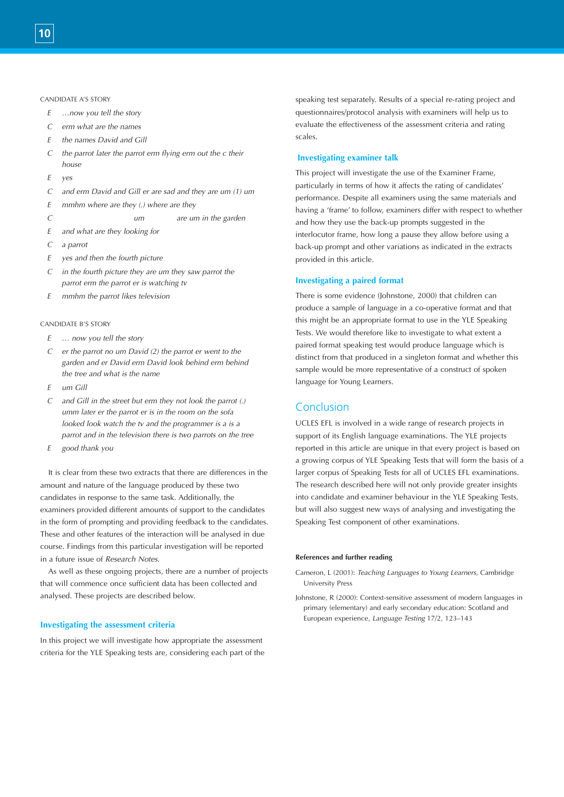#### CANDIDATE A'S STORY

- *E …now you tell the story*
- *C erm what are the names*
- *E the names David and Gill*
- *C the parrot later the parrot erm flying erm out the c their house*
- *E yes*
- *C and erm David and Gill er are sad and they are um (1) um*
- *E mmhm where are they (.) where are they*

*C um are um in the garden* 

- *E and what are they looking for*
- *C a parrot*
- *E yes and then the fourth picture*
- *C in the fourth picture they are um they saw parrot the parrot erm the parrot er is watching tv*
- *E mmhm the parrot likes television*

#### CANDIDATE B'S STORY

- *E … now you tell the story*
- *C er the parrot no um David (2) the parrot er went to the garden and er David erm David look behind erm behind the tree and what is the name*
- *E um Gill*
- *C and Gill in the street but erm they not look the parrot (.) umm later er the parrot er is in the room on the sofa looked look watch the tv and the programmer is a is a parrot and in the television there is two parrots on the tree*
- *E good thank you*

It is clear from these two extracts that there are differences in the amount and nature of the language produced by these two candidates in response to the same task. Additionally, the examiners provided different amounts of support to the candidates in the form of prompting and providing feedback to the candidates. These and other features of the interaction will be analysed in due course. Findings from this particular investigation will be reported in a future issue of *Research Notes*.

As well as these ongoing projects, there are a number of projects that will commence once sufficient data has been collected and analysed. These projects are described below.

#### **Investigating the assessment criteria**

In this project we will investigate how appropriate the assessment criteria for the YLE Speaking tests are, considering each part of the speaking test separately. Results of a special re-rating project and questionnaires/protocol analysis with examiners will help us to evaluate the effectiveness of the assessment criteria and rating scales.

#### **Investigating examiner talk**

This project will investigate the use of the Examiner Frame, particularly in terms of how it affects the rating of candidates' performance. Despite all examiners using the same materials and having a 'frame' to follow, examiners differ with respect to whether and how they use the back-up prompts suggested in the interlocutor frame, how long a pause they allow before using a back-up prompt and other variations as indicated in the extracts provided in this article.

#### **Investigating a paired format**

There is some evidence (Johnstone, 2000) that children can produce a sample of language in a co-operative format and that this might be an appropriate format to use in the YLE Speaking Tests. We would therefore like to investigate to what extent a paired format speaking test would produce language which is distinct from that produced in a singleton format and whether this sample would be more representative of a construct of spoken language for Young Learners.

### Conclusion

UCLES EFL is involved in a wide range of research projects in support of its English language examinations. The YLE projects reported in this article are unique in that every project is based on a growing corpus of YLE Speaking Tests that will form the basis of a larger corpus of Speaking Tests for all of UCLES EFL examinations. The research described here will not only provide greater insights into candidate and examiner behaviour in the YLE Speaking Tests, but will also suggest new ways of analysing and investigating the Speaking Test component of other examinations.

#### **References and further reading**

- Cameron, L (2001): *Teaching Languages to Young Learners*, Cambridge University Press
- Johnstone, R (2000): Context-sensitive assessment of modern languages in primary (elementary) and early secondary education: Scotland and European experience, *Language Testing* 17/2, 123–143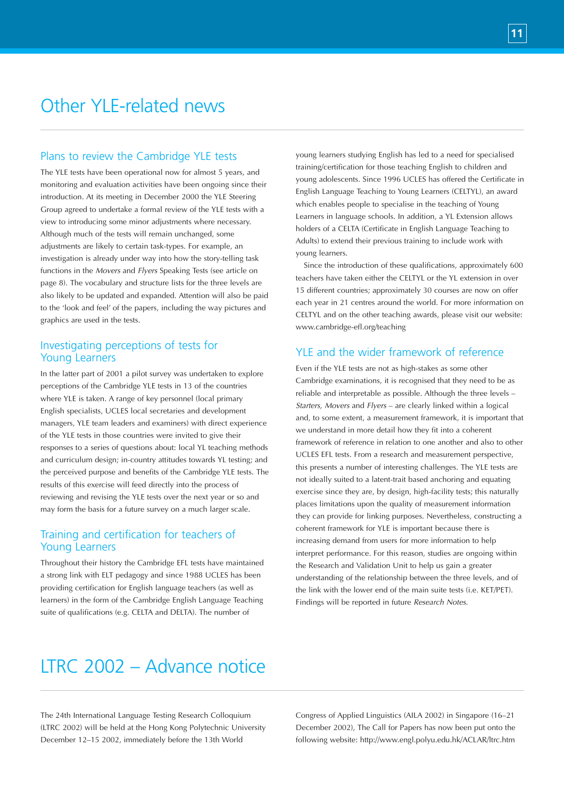# Other YLE-related news

# Plans to review the Cambridge YLE tests

The YLE tests have been operational now for almost 5 years, and monitoring and evaluation activities have been ongoing since their introduction. At its meeting in December 2000 the YLE Steering Group agreed to undertake a formal review of the YLE tests with a view to introducing some minor adjustments where necessary. Although much of the tests will remain unchanged, some adjustments are likely to certain task-types. For example, an investigation is already under way into how the story-telling task functions in the *Movers* and *Flyers* Speaking Tests (see article on page 8). The vocabulary and structure lists for the three levels are also likely to be updated and expanded. Attention will also be paid to the 'look and feel' of the papers, including the way pictures and graphics are used in the tests.

### Investigating perceptions of tests for Young Learners

In the latter part of 2001 a pilot survey was undertaken to explore perceptions of the Cambridge YLE tests in 13 of the countries where YLE is taken. A range of key personnel (local primary English specialists, UCLES local secretaries and development managers, YLE team leaders and examiners) with direct experience of the YLE tests in those countries were invited to give their responses to a series of questions about: local YL teaching methods and curriculum design; in-country attitudes towards YL testing; and the perceived purpose and benefits of the Cambridge YLE tests. The results of this exercise will feed directly into the process of reviewing and revising the YLE tests over the next year or so and may form the basis for a future survey on a much larger scale.

# Training and certification for teachers of Young Learners

Throughout their history the Cambridge EFL tests have maintained a strong link with ELT pedagogy and since 1988 UCLES has been providing certification for English language teachers (as well as learners) in the form of the Cambridge English Language Teaching suite of qualifications (e.g. CELTA and DELTA). The number of

young learners studying English has led to a need for specialised training/certification for those teaching English to children and young adolescents. Since 1996 UCLES has offered the Certificate in English Language Teaching to Young Learners (CELTYL), an award which enables people to specialise in the teaching of Young Learners in language schools. In addition, a YL Extension allows holders of a CELTA (Certificate in English Language Teaching to Adults) to extend their previous training to include work with young learners.

Since the introduction of these qualifications, approximately 600 teachers have taken either the CELTYL or the YL extension in over 15 different countries; approximately 30 courses are now on offer each year in 21 centres around the world. For more information on CELTYL and on the other teaching awards, please visit our website: www.cambridge-efl.org/teaching

# YLE and the wider framework of reference

Even if the YLE tests are not as high-stakes as some other Cambridge examinations, it is recognised that they need to be as reliable and interpretable as possible. Although the three levels – *Starters, Movers* and *Flyers* – are clearly linked within a logical and, to some extent, a measurement framework, it is important that we understand in more detail how they fit into a coherent framework of reference in relation to one another and also to other UCLES EFL tests. From a research and measurement perspective, this presents a number of interesting challenges. The YLE tests are not ideally suited to a latent-trait based anchoring and equating exercise since they are, by design, high-facility tests; this naturally places limitations upon the quality of measurement information they can provide for linking purposes. Nevertheless, constructing a coherent framework for YLE is important because there is increasing demand from users for more information to help interpret performance. For this reason, studies are ongoing within the Research and Validation Unit to help us gain a greater understanding of the relationship between the three levels, and of the link with the lower end of the main suite tests (i.e. KET/PET). Findings will be reported in future *Research Notes*.

# LTRC 2002 – Advance notice

The 24th International Language Testing Research Colloquium (LTRC 2002) will be held at the Hong Kong Polytechnic University December 12–15 2002, immediately before the 13th World

Congress of Applied Linguistics (AILA 2002) in Singapore (16–21 December 2002), The Call for Papers has now been put onto the following website: http://www.engl.polyu.edu.hk/ACLAR/ltrc.htm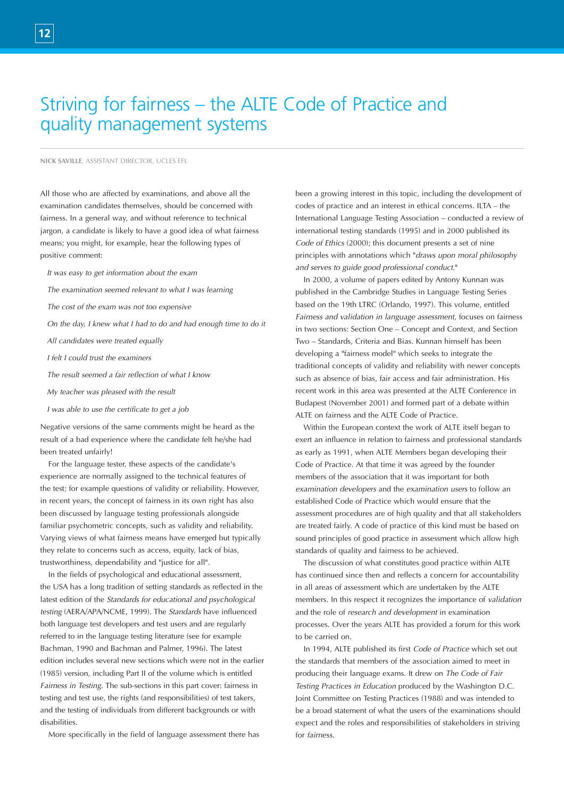# Striving for fairness – the ALTE Code of Practice and quality management systems

#### **NICK SAVILLE**, ASSISTANT DIRECTOR, UCLES EFL

All those who are affected by examinations, and above all the examination candidates themselves, should be concerned with fairness. In a general way, and without reference to technical jargon, a candidate is likely to have a good idea of what fairness means; you might, for example, hear the following types of positive comment:

- *It was easy to get information about the exam*
- *The examination seemed relevant to what I was learning*
- *The cost of the exam was not too expensive*
- *On the day, I knew what I had to do and had enough time to do it*
- *All candidates were treated equally*
- *I felt I could trust the examiners*
- *The result seemed a fair reflection of what I know*
- *My teacher was pleased with the result*
- *I was able to use the certificate to get a job*

Negative versions of the same comments might be heard as the result of a bad experience where the candidate felt he/she had been treated unfairly!

For the language tester, these aspects of the candidate's experience are normally assigned to the technical features of the test; for example questions of validity or reliability. However, in recent years, the concept of fairness in its own right has also been discussed by language testing professionals alongside familiar psychometric concepts, such as validity and reliability. Varying views of what fairness means have emerged but typically they relate to concerns such as access, equity, lack of bias, trustworthiness, dependability and "justice for all".

In the fields of psychological and educational assessment, the USA has a long tradition of setting standards as reflected in the latest edition of the *Standards for educational and psychological testing* (AERA/APA/NCME, 1999). The *Standards* have influenced both language test developers and test users and are regularly referred to in the language testing literature (see for example Bachman, 1990 and Bachman and Palmer, 1996). The latest edition includes several new sections which were not in the earlier (1985) version, including Part II of the volume which is entitled *Fairness in Testing*. The sub-sections in this part cover: fairness in testing and test use, the rights (and responsibilities) of test takers, and the testing of individuals from different backgrounds or with disabilities.

More specifically in the field of language assessment there has

been a growing interest in this topic, including the development of codes of practice and an interest in ethical concerns. ILTA – the International Language Testing Association – conducted a review of international testing standards (1995) and in 2000 published its *Code of Ethics* (2000); this document presents a set of nine principles with annotations which "*draws upon moral philosophy and serves to guide good professional conduct*."

In 2000, a volume of papers edited by Antony Kunnan was published in the Cambridge Studies in Language Testing Series based on the 19th LTRC (Orlando, 1997). This volume, entitled *Fairness and validation in language assessment*, focuses on fairness in two sections: Section One – Concept and Context, and Section Two – Standards, Criteria and Bias. Kunnan himself has been developing a "fairness model" which seeks to integrate the traditional concepts of validity and reliability with newer concepts such as absence of bias, fair access and fair administration. His recent work in this area was presented at the ALTE Conference in Budapest (November 2001) and formed part of a debate within ALTE on fairness and the ALTE Code of Practice.

Within the European context the work of ALTE itself began to exert an influence in relation to fairness and professional standards as early as 1991, when ALTE Members began developing their Code of Practice. At that time it was agreed by the founder members of the association that it was important for both *examination developers* and the *examination users* to follow an established Code of Practice which would ensure that the assessment procedures are of high quality and that all stakeholders are treated fairly. A code of practice of this kind must be based on sound principles of good practice in assessment which allow high standards of quality and fairness to be achieved.

The discussion of what constitutes good practice within ALTE has continued since then and reflects a concern for accountability in all areas of assessment which are undertaken by the ALTE members. In this respect it recognizes the importance of *validation* and the role of *research and development* in examination processes. Over the years ALTE has provided a forum for this work to be carried on.

In 1994, ALTE published its first *Code of Practice* which set out the standards that members of the association aimed to meet in producing their language exams. It drew on *The Code of Fair Testing Practices in Education* produced by the Washington D.C. Joint Committee on Testing Practices (1988) and was intended to be a broad statement of what the users of the examinations should expect and the roles and responsibilities of stakeholders in striving for *fairness*.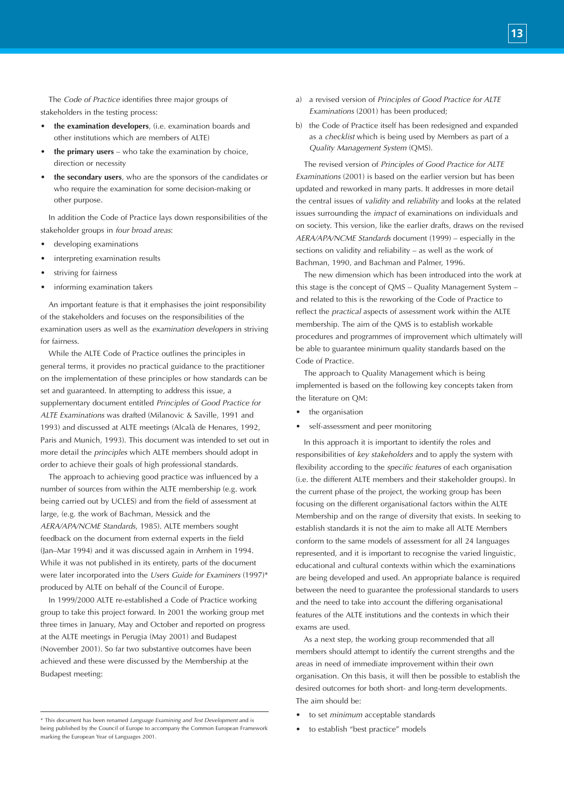The *Code of Practice* identifies three major groups of stakeholders in the testing process:

- **the examination developers**, (i.e. examination boards and other institutions which are members of ALTE)
- **the primary users** who take the examination by choice, direction or necessity
- **the secondary users**, who are the sponsors of the candidates or who require the examination for some decision-making or other purpose.

In addition the Code of Practice lays down responsibilities of the stakeholder groups in *four broad areas*:

- developing examinations
- interpreting examination results
- striving for fairness
- informing examination takers

An important feature is that it emphasises the joint responsibility of the stakeholders and focuses on the responsibilities of the examination users as well as the *examination developers* in striving for fairness.

While the ALTE Code of Practice outlines the principles in general terms, it provides no practical guidance to the practitioner on the implementation of these principles or how standards can be set and guaranteed. In attempting to address this issue, a supplementary document entitled *Principles of Good Practice for ALTE Examinations* was drafted (Milanovic & Saville, 1991 and 1993) and discussed at ALTE meetings (Alcalà de Henares, 1992, Paris and Munich, 1993). This document was intended to set out in more detail the *principles* which ALTE members should adopt in order to achieve their goals of high professional standards.

The approach to achieving good practice was influenced by a number of sources from within the ALTE membership (e.g. work being carried out by UCLES) and from the field of assessment at large, (e.g. the work of Bachman, Messick and the *AERA/APA/NCME Standards*, 1985). ALTE members sought feedback on the document from external experts in the field (Jan–Mar 1994) and it was discussed again in Arnhem in 1994. While it was not published in its entirety, parts of the document were later incorporated into the *Users Guide for Examiners* (1997)\* produced by ALTE on behalf of the Council of Europe.

In 1999/2000 ALTE re-established a Code of Practice working group to take this project forward. In 2001 the working group met three times in January, May and October and reported on progress at the ALTE meetings in Perugia (May 2001) and Budapest (November 2001). So far two substantive outcomes have been achieved and these were discussed by the Membership at the Budapest meeting:

- a) a revised version of *Principles of Good Practice for ALTE Examinations* (2001) has been produced;
- b) the Code of Practice itself has been redesigned and expanded as a *checklist* which is being used by Members as part of a *Quality Management System* (QMS).

**13**

The revised version of *Principles of Good Practice for ALTE Examinations* (2001) is based on the earlier version but has been updated and reworked in many parts. It addresses in more detail the central issues of *validity* and *reliability* and looks at the related issues surrounding the *impact* of examinations on individuals and on society. This version, like the earlier drafts, draws on the revised *AERA/APA/NCME Standards* document (1999) – especially in the sections on validity and reliability – as well as the work of Bachman, 1990, and Bachman and Palmer, 1996.

The new dimension which has been introduced into the work at this stage is the concept of QMS – Quality Management System – and related to this is the reworking of the Code of Practice to reflect the *practical* aspects of assessment work within the ALTE membership. The aim of the QMS is to establish workable procedures and programmes of improvement which ultimately will be able to guarantee minimum quality standards based on the Code of Practice.

The approach to Quality Management which is being implemented is based on the following key concepts taken from the literature on QM:

- the organisation
- self-assessment and peer monitoring

In this approach it is important to identify the roles and responsibilities of *key stakeholders* and to apply the system with flexibility according to the *specific features* of each organisation (i.e. the different ALTE members and their stakeholder groups). In the current phase of the project, the working group has been focusing on the different organisational factors within the ALTE Membership and on the range of diversity that exists. In seeking to establish standards it is not the aim to make all ALTE Members conform to the same models of assessment for all 24 languages represented, and it is important to recognise the varied linguistic, educational and cultural contexts within which the examinations are being developed and used. An appropriate balance is required between the need to guarantee the professional standards to users and the need to take into account the differing organisational features of the ALTE institutions and the contexts in which their exams are used.

As a next step, the working group recommended that all members should attempt to identify the current strengths and the areas in need of immediate improvement within their own organisation. On this basis, it will then be possible to establish the desired outcomes for both short- and long-term developments. The aim should be:

- to set *minimum* acceptable standards
- to establish "best practice" models

<sup>\*</sup> This document has been renamed *Language Examining and Test Development* and is being published by the Council of Europe to accompany the Common European Framework marking the European Year of Languages 2001.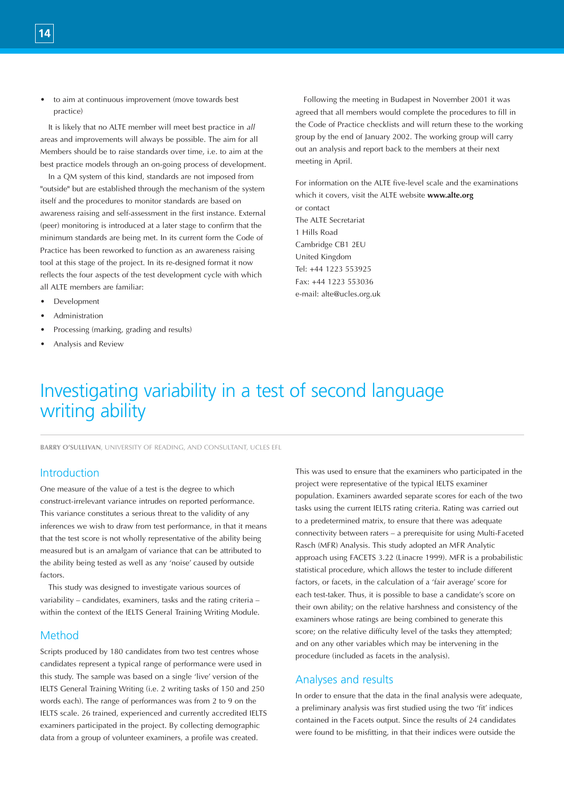• to aim at continuous improvement (move towards best practice)

It is likely that no ALTE member will meet best practice in *all* areas and improvements will always be possible. The aim for all Members should be to raise standards over time, i.e. to aim at the best practice models through an on-going process of development.

In a QM system of this kind, standards are not imposed from "outside" but are established through the mechanism of the system itself and the procedures to monitor standards are based on awareness raising and self-assessment in the first instance. External (peer) monitoring is introduced at a later stage to confirm that the minimum standards are being met. In its current form the Code of Practice has been reworked to function as an awareness raising tool at this stage of the project. In its re-designed format it now reflects the four aspects of the test development cycle with which all ALTE members are familiar:

- Development
- **Administration**
- Processing (marking, grading and results)
- Analysis and Review

Following the meeting in Budapest in November 2001 it was agreed that all members would complete the procedures to fill in the Code of Practice checklists and will return these to the working group by the end of January 2002. The working group will carry out an analysis and report back to the members at their next meeting in April.

For information on the ALTE five-level scale and the examinations which it covers, visit the ALTE website **www.alte.org** or contact The ALTE Secretariat 1 Hills Road Cambridge CB1 2EU United Kingdom Tel: +44 1223 553925 Fax: +44 1223 553036 e-mail: alte@ucles.org.uk

# Investigating variability in a test of second language writing ability

**BARRY O'SULLIVAN**, UNIVERSITY OF READING, AND CONSULTANT, UCLES EFL

# Introduction

One measure of the value of a test is the degree to which construct-irrelevant variance intrudes on reported performance. This variance constitutes a serious threat to the validity of any inferences we wish to draw from test performance, in that it means that the test score is not wholly representative of the ability being measured but is an amalgam of variance that can be attributed to the ability being tested as well as any 'noise' caused by outside factors.

This study was designed to investigate various sources of variability – candidates, examiners, tasks and the rating criteria – within the context of the IELTS General Training Writing Module.

### Method

Scripts produced by 180 candidates from two test centres whose candidates represent a typical range of performance were used in this study. The sample was based on a single 'live' version of the IELTS General Training Writing (i.e. 2 writing tasks of 150 and 250 words each). The range of performances was from 2 to 9 on the IELTS scale. 26 trained, experienced and currently accredited IELTS examiners participated in the project. By collecting demographic data from a group of volunteer examiners, a profile was created.

This was used to ensure that the examiners who participated in the project were representative of the typical IELTS examiner population. Examiners awarded separate scores for each of the two tasks using the current IELTS rating criteria. Rating was carried out to a predetermined matrix, to ensure that there was adequate connectivity between raters – a prerequisite for using Multi-Faceted Rasch (MFR) Analysis. This study adopted an MFR Analytic approach using FACETS 3.22 (Linacre 1999). MFR is a probabilistic statistical procedure, which allows the tester to include different factors, or facets, in the calculation of a 'fair average' score for each test-taker. Thus, it is possible to base a candidate's score on their own ability; on the relative harshness and consistency of the examiners whose ratings are being combined to generate this score; on the relative difficulty level of the tasks they attempted; and on any other variables which may be intervening in the procedure (included as facets in the analysis).

# Analyses and results

In order to ensure that the data in the final analysis were adequate, a preliminary analysis was first studied using the two 'fit' indices contained in the Facets output. Since the results of 24 candidates were found to be misfitting, in that their indices were outside the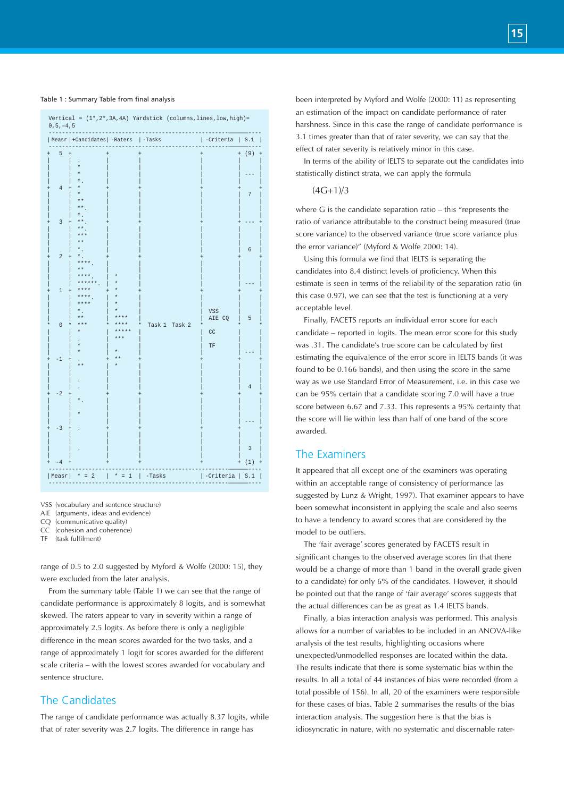#### Table 1 : Summary Table from final analysis

| $0\,, 5\,, -4\,, 5$              |                                             |                                | Vertical = $(1*, 2*, 3A, 4A)$ Yardstick (columns, lines, low, high)= |                           |                |
|----------------------------------|---------------------------------------------|--------------------------------|----------------------------------------------------------------------|---------------------------|----------------|
|                                  | Measr   +Candidates   -Raters               |                                | $ $ -Tasks                                                           | -Criteria                 | S.1            |
| 5                                |                                             |                                |                                                                      | $\ddot{}$                 | (9)            |
| $\overline{4}$                   | **                                          |                                |                                                                      |                           | 7              |
| $\overline{3}$<br>$\overline{a}$ | $* *$<br>***<br>$**$<br>$\star$             |                                |                                                                      |                           | 6              |
|                                  | $***.$<br>$* *$<br>**** .<br>******<br>**** |                                |                                                                      |                           |                |
| $\mathbf{1}$<br>$\overline{0}$   | **** .<br>$***$<br>$\star$                  | $\star$                        |                                                                      | <b>VSS</b><br>AIE CQ      | 5              |
|                                  |                                             | ***<br>$* *$<br>***            | Task 1<br>Task 2                                                     | CC<br>$\operatorname{TF}$ |                |
| -1                               | $* *$                                       |                                |                                                                      |                           | $\overline{4}$ |
| $-2$<br>$-3$                     |                                             |                                |                                                                      |                           |                |
|                                  |                                             |                                |                                                                      |                           | 3              |
| 4<br>Measr                       | $\overline{2}$<br>$^{\ast}$<br>$=$          | $\star$<br>$\mathbf{1}$<br>$=$ | -Tasks                                                               | -Criteria                 | (1)            |
|                                  |                                             |                                |                                                                      |                           | S.1            |

VSS (vocabulary and sentence structure)

CQ (communicative quality) CC (cohesion and coherence)

TF (task fulfilment)

range of 0.5 to 2.0 suggested by Myford & Wolfe (2000: 15), they were excluded from the later analysis.

From the summary table (Table 1) we can see that the range of candidate performance is approximately 8 logits, and is somewhat skewed. The raters appear to vary in severity within a range of approximately 2.5 logits. As before there is only a negligible difference in the mean scores awarded for the two tasks, and a range of approximately 1 logit for scores awarded for the different scale criteria – with the lowest scores awarded for vocabulary and sentence structure.

# The Candidates

The range of candidate performance was actually 8.37 logits, while that of rater severity was 2.7 logits. The difference in range has

been interpreted by Myford and Wolfe (2000: 11) as representing an estimation of the impact on candidate performance of rater harshness. Since in this case the range of candidate performance is 3.1 times greater than that of rater severity, we can say that the effect of rater severity is relatively minor in this case.

In terms of the ability of IELTS to separate out the candidates into statistically distinct strata, we can apply the formula

#### $(4G+1)/3$

where G is the candidate separation ratio – this "represents the ratio of variance attributable to the construct being measured (true score variance) to the observed variance (true score variance plus the error variance)" (Myford & Wolfe 2000: 14).

Using this formula we find that IELTS is separating the candidates into 8.4 distinct levels of proficiency. When this estimate is seen in terms of the reliability of the separation ratio (in this case 0.97), we can see that the test is functioning at a very acceptable level.

Finally, FACETS reports an individual error score for each candidate – reported in logits. The mean error score for this study was .31. The candidate's true score can be calculated by first estimating the equivalence of the error score in IELTS bands (it was found to be 0.166 bands), and then using the score in the same way as we use Standard Error of Measurement, i.e. in this case we can be 95% certain that a candidate scoring 7.0 will have a true score between 6.67 and 7.33. This represents a 95% certainty that the score will lie within less than half of one band of the score awarded.

### The Examiners

It appeared that all except one of the examiners was operating within an acceptable range of consistency of performance (as suggested by Lunz & Wright, 1997). That examiner appears to have been somewhat inconsistent in applying the scale and also seems to have a tendency to award scores that are considered by the model to be outliers.

The 'fair average' scores generated by FACETS result in significant changes to the observed average scores (in that there would be a change of more than 1 band in the overall grade given to a candidate) for only 6% of the candidates. However, it should be pointed out that the range of 'fair average' scores suggests that the actual differences can be as great as 1.4 IELTS bands.

Finally, a bias interaction analysis was performed. This analysis allows for a number of variables to be included in an ANOVA-like analysis of the test results, highlighting occasions where unexpected/unmodelled responses are located within the data. The results indicate that there is some systematic bias within the results. In all a total of 44 instances of bias were recorded (from a total possible of 156). In all, 20 of the examiners were responsible for these cases of bias. Table 2 summarises the results of the bias interaction analysis. The suggestion here is that the bias is idiosyncratic in nature, with no systematic and discernable rater-

AIE (arguments, ideas and evidence)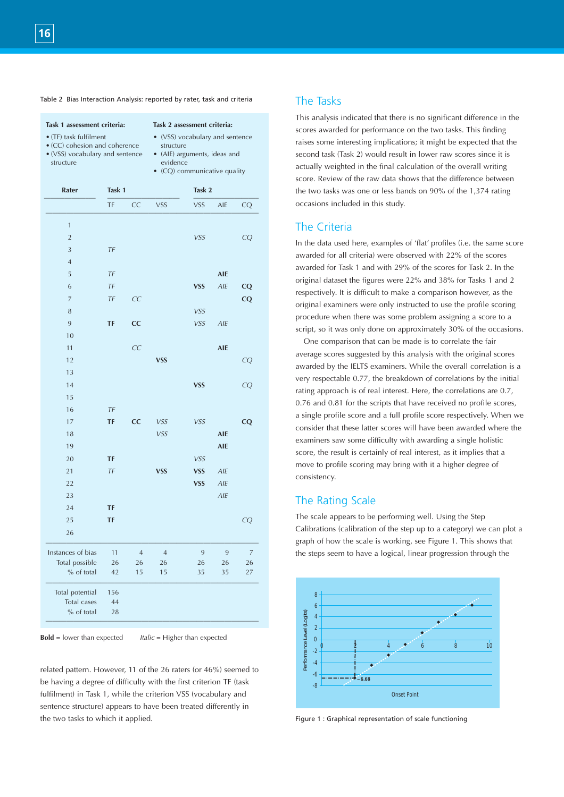|  |  | Table 2 Bias Interaction Analysis: reported by rater, task and criteria |  |  |  |  |  |  |  |
|--|--|-------------------------------------------------------------------------|--|--|--|--|--|--|--|
|--|--|-------------------------------------------------------------------------|--|--|--|--|--|--|--|

| Task 1 assessment criteria:<br>• (TF) task fulfilment<br>• (CC) cohesion and coherence<br>• (VSS) vocabulary and sentence<br>structure |           | Task 2 assessment criteria:<br>• (VSS) vocabulary and sentence<br>structure<br>• (AIE) arguments, ideas and<br>evidence<br>• (CQ) communicative quality |                |            |                | scores<br>raises<br>second<br>actual<br>score. |                             |
|----------------------------------------------------------------------------------------------------------------------------------------|-----------|---------------------------------------------------------------------------------------------------------------------------------------------------------|----------------|------------|----------------|------------------------------------------------|-----------------------------|
| Rater                                                                                                                                  | Task 1    |                                                                                                                                                         |                | Task 2     |                |                                                | the tw                      |
|                                                                                                                                        | TF        | CC                                                                                                                                                      | <b>VSS</b>     | <b>VSS</b> | AIE            | CQ                                             | occasi                      |
| $\mathbf{1}$                                                                                                                           |           |                                                                                                                                                         |                |            |                |                                                | The                         |
| $\overline{2}$                                                                                                                         |           |                                                                                                                                                         |                | VSS        |                | CQ                                             |                             |
| 3                                                                                                                                      | TF        |                                                                                                                                                         |                |            |                |                                                | In the                      |
| $\overline{4}$                                                                                                                         |           |                                                                                                                                                         |                |            |                |                                                | award                       |
| 5                                                                                                                                      | TF        |                                                                                                                                                         |                |            | <b>AIE</b>     |                                                | award                       |
| 6                                                                                                                                      | TF        |                                                                                                                                                         |                | <b>VSS</b> | AIE            | CQ                                             | origina                     |
| $\overline{7}$                                                                                                                         | TF        | CC                                                                                                                                                      |                |            |                | CQ                                             | respec                      |
| 8                                                                                                                                      |           |                                                                                                                                                         |                | VSS        |                |                                                | origina                     |
| 9                                                                                                                                      | <b>TF</b> | cc                                                                                                                                                      |                | <b>VSS</b> | AIE            |                                                | proced                      |
| 10                                                                                                                                     |           |                                                                                                                                                         |                |            |                |                                                | script,                     |
| 11                                                                                                                                     |           | CC                                                                                                                                                      |                |            | <b>AIE</b>     |                                                | One                         |
| 12                                                                                                                                     |           |                                                                                                                                                         | <b>VSS</b>     |            |                | CQ                                             | averag                      |
| 13                                                                                                                                     |           |                                                                                                                                                         |                |            |                |                                                | award                       |
| 14                                                                                                                                     |           |                                                                                                                                                         |                | <b>VSS</b> |                | CQ                                             | very re                     |
| 15                                                                                                                                     |           |                                                                                                                                                         |                |            |                |                                                | rating                      |
| 16                                                                                                                                     | TF        |                                                                                                                                                         |                |            |                |                                                | 0.76a                       |
| 17                                                                                                                                     | TF        | cc                                                                                                                                                      | <b>VSS</b>     | <b>VSS</b> |                | CQ                                             | a singl<br>consid           |
| 18                                                                                                                                     |           |                                                                                                                                                         | <b>VSS</b>     |            | <b>AIE</b>     |                                                |                             |
| 19                                                                                                                                     |           |                                                                                                                                                         |                |            | <b>AIE</b>     |                                                | exami                       |
| 20                                                                                                                                     | TF        |                                                                                                                                                         |                | VSS        |                |                                                | score,                      |
| 21                                                                                                                                     | TF        |                                                                                                                                                         | <b>VSS</b>     | <b>VSS</b> | AIE            |                                                | move <sup>®</sup><br>consis |
| 22                                                                                                                                     |           |                                                                                                                                                         |                | <b>VSS</b> | AIE            |                                                |                             |
| 23                                                                                                                                     |           |                                                                                                                                                         |                |            | AIE            |                                                | The                         |
| 24                                                                                                                                     | TF        |                                                                                                                                                         |                |            |                |                                                |                             |
| 25                                                                                                                                     | TF        |                                                                                                                                                         |                |            |                | CQ                                             | The sc                      |
| 26                                                                                                                                     |           |                                                                                                                                                         |                |            |                |                                                | Calibr                      |
| Instances of bias                                                                                                                      | 11        | $\overline{4}$                                                                                                                                          | $\overline{4}$ | 9          | $\overline{9}$ | 7                                              | graph                       |
| Total possible                                                                                                                         | 26        | 26                                                                                                                                                      | 26             | 26         | 26             | 26                                             | the ste                     |
| % of total                                                                                                                             | 42        | 15                                                                                                                                                      | 15             | 35         | 35             | 27                                             |                             |
| Total potential                                                                                                                        | 156       |                                                                                                                                                         |                |            |                |                                                |                             |
| Total cases                                                                                                                            | 44        |                                                                                                                                                         |                |            |                |                                                |                             |
| % of total                                                                                                                             | 28        |                                                                                                                                                         |                |            |                |                                                | Level (Logits)              |

related pattern. However, 11 of the 26 raters (or 46%) seemed to be having a degree of difficulty with the first criterion TF (task fulfilment) in Task 1, while the criterion VSS (vocabulary and sentence structure) appears to have been treated differently in the two tasks to which it applied.

# The Tasks

This analysis indicated that there is no significant difference in the scores awarded for performance on the two tasks. This finding raises some interesting implications; it might be expected that the second task (Task 2) would result in lower raw scores since it is actually weighted in the final calculation of the overall writing score. Review of the raw data shows that the difference between the two tasks was one or less bands on 90% of the 1,374 rating occasions included in this study.

# The Criteria

In the data used here, examples of 'flat' profiles (i.e. the same score awarded for all criteria) were observed with 22% of the scores awarded for Task 1 and with 29% of the scores for Task 2. In the original dataset the figures were 22% and 38% for Tasks 1 and 2 respectively. It is difficult to make a comparison however, as the original examiners were only instructed to use the profile scoring procedure when there was some problem assigning a score to a script, so it was only done on approximately 30% of the occasions.

One comparison that can be made is to correlate the fair average scores suggested by this analysis with the original scores awarded by the IELTS examiners. While the overall correlation is a very respectable 0.77, the breakdown of correlations by the initial rating approach is of real interest. Here, the correlations are 0.7, 0.76 and 0.81 for the scripts that have received no profile scores, a single profile score and a full profile score respectively. When we consider that these latter scores will have been awarded where the examiners saw some difficulty with awarding a single holistic score, the result is certainly of real interest, as it implies that a move to profile scoring may bring with it a higher degree of consistency.

# The Rating Scale

The scale appears to be performing well. Using the Step Calibrations (calibration of the step up to a category) we can plot a graph of how the scale is working, see Figure 1. This shows that the steps seem to have a logical, linear progression through the



Figure 1 : Graphical representation of scale functioning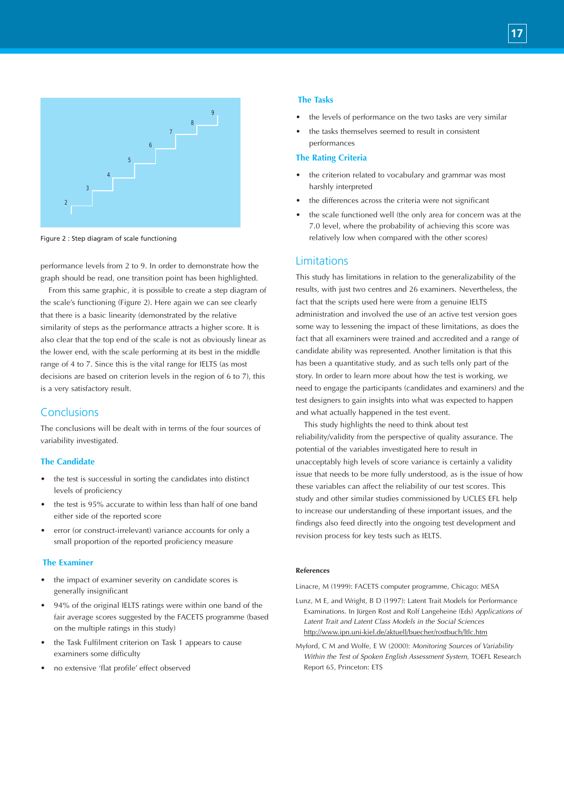

Figure 2 : Step diagram of scale functioning

performance levels from 2 to 9. In order to demonstrate how the graph should be read, one transition point has been highlighted.

From this same graphic, it is possible to create a step diagram of the scale's functioning (Figure 2). Here again we can see clearly that there is a basic linearity (demonstrated by the relative similarity of steps as the performance attracts a higher score. It is also clear that the top end of the scale is not as obviously linear as the lower end, with the scale performing at its best in the middle range of 4 to 7. Since this is the vital range for IELTS (as most decisions are based on criterion levels in the region of 6 to 7), this is a very satisfactory result.

# Conclusions

The conclusions will be dealt with in terms of the four sources of variability investigated.

#### **The Candidate**

- the test is successful in sorting the candidates into distinct levels of proficiency
- the test is 95% accurate to within less than half of one band either side of the reported score
- error (or construct-irrelevant) variance accounts for only a small proportion of the reported proficiency measure

#### **The Examiner**

- the impact of examiner severity on candidate scores is generally insignificant
- 94% of the original IELTS ratings were within one band of the fair average scores suggested by the FACETS programme (based on the multiple ratings in this study)
- the Task Fulfilment criterion on Task 1 appears to cause examiners some difficulty
- no extensive 'flat profile' effect observed

#### **The Tasks**

- the levels of performance on the two tasks are very similar
- the tasks themselves seemed to result in consistent performances

#### **The Rating Criteria**

- the criterion related to vocabulary and grammar was most harshly interpreted
- the differences across the criteria were not significant
- the scale functioned well (the only area for concern was at the 7.0 level, where the probability of achieving this score was relatively low when compared with the other scores)

### Limitations

This study has limitations in relation to the generalizability of the results, with just two centres and 26 examiners. Nevertheless, the fact that the scripts used here were from a genuine IELTS administration and involved the use of an active test version goes some way to lessening the impact of these limitations, as does the fact that all examiners were trained and accredited and a range of candidate ability was represented. Another limitation is that this has been a quantitative study, and as such tells only part of the story. In order to learn more about how the test is working, we need to engage the participants (candidates and examiners) and the test designers to gain insights into what was expected to happen and what actually happened in the test event.

This study highlights the need to think about test reliability/validity from the perspective of quality assurance. The potential of the variables investigated here to result in unacceptably high levels of score variance is certainly a validity issue that needs to be more fully understood, as is the issue of how these variables can affect the reliability of our test scores. This study and other similar studies commissioned by UCLES EFL help to increase our understanding of these important issues, and the findings also feed directly into the ongoing test development and revision process for key tests such as IELTS.

#### **References**

Linacre, M (1999): FACETS computer programme, Chicago: MESA

- Lunz, M E, and Wright, B D (1997): Latent Trait Models for Performance Examinations. In Jürgen Rost and Rolf Langeheine (Eds) *Applications of Latent Trait and Latent Class Models in the Social Sciences* http://www.ipn.uni-kiel.de/aktuell/buecher/rostbuch/ltlc.htm
- Myford, C M and Wolfe, E W (2000): *Monitoring Sources of Variability Within the Test of Spoken English Assessment System*, TOEFL Research Report 65, Princeton: ETS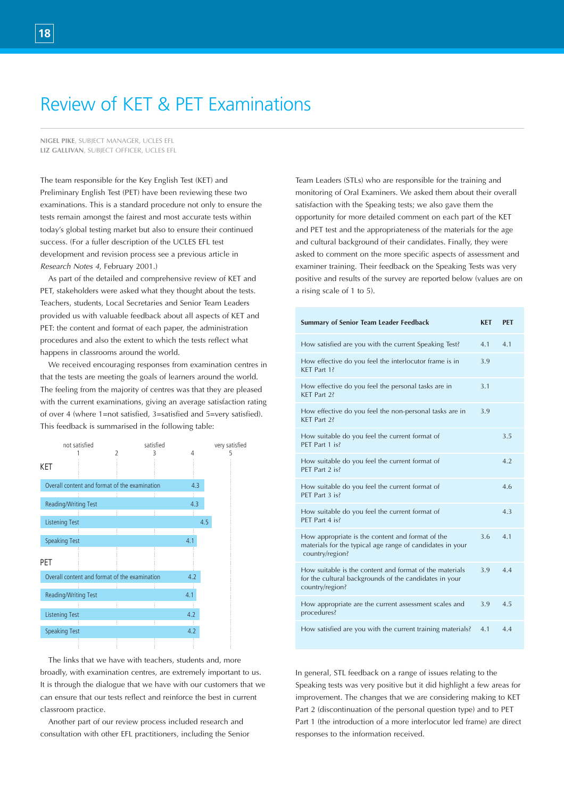# Review of KET & PET Examinations

**NIGEL PIKE**, SUBJECT MANAGER, UCLES EFL **LIZ GALLIVAN**, SUBJECT OFFICER, UCLES EFL

The team responsible for the Key English Test (KET) and Preliminary English Test (PET) have been reviewing these two examinations. This is a standard procedure not only to ensure the tests remain amongst the fairest and most accurate tests within today's global testing market but also to ensure their continued success. (For a fuller description of the UCLES EFL test development and revision process see a previous article in *Research Notes 4*, February 2001.)

As part of the detailed and comprehensive review of KET and PET, stakeholders were asked what they thought about the tests. Teachers, students, Local Secretaries and Senior Team Leaders provided us with valuable feedback about all aspects of KET and PET: the content and format of each paper, the administration procedures and also the extent to which the tests reflect what happens in classrooms around the world.

We received encouraging responses from examination centres in that the tests are meeting the goals of learners around the world. The feeling from the majority of centres was that they are pleased with the current examinations, giving an average satisfaction rating of over 4 (where 1=not satisfied, 3=satisfied and 5=very satisfied). This feedback is summarised in the following table:



The links that we have with teachers, students and, more broadly, with examination centres, are extremely important to us. It is through the dialogue that we have with our customers that we can ensure that our tests reflect and reinforce the best in current classroom practice.

Another part of our review process included research and consultation with other EFL practitioners, including the Senior Team Leaders (STLs) who are responsible for the training and monitoring of Oral Examiners. We asked them about their overall satisfaction with the Speaking tests; we also gave them the opportunity for more detailed comment on each part of the KET and PET test and the appropriateness of the materials for the age and cultural background of their candidates. Finally, they were asked to comment on the more specific aspects of assessment and examiner training. Their feedback on the Speaking Tests was very positive and results of the survey are reported below (values are on a rising scale of 1 to 5).

| <b>Summary of Senior Team Leader Feedback</b>                                                                                        | <b>KET</b> | <b>PET</b>     |
|--------------------------------------------------------------------------------------------------------------------------------------|------------|----------------|
| How satisfied are you with the current Speaking Test?                                                                                | 4.1        | 4.1            |
| How effective do you feel the interlocutor frame is in<br>KET Part 1?                                                                | 3.9        |                |
| How effective do you feel the personal tasks are in<br>KFT Part 2?                                                                   | 3.1        |                |
| How effective do you feel the non-personal tasks are in<br>KFT Part 2?                                                               | 3.9        |                |
| How suitable do you feel the current format of<br>PET Part 1 is?                                                                     |            | 3.5            |
| How suitable do you feel the current format of<br>PET Part 2 is?                                                                     |            | 4 <sub>2</sub> |
| How suitable do you feel the current format of<br>PET Part 3 is?                                                                     |            | 4.6            |
| How suitable do you feel the current format of<br>PFT Part 4 is?                                                                     |            | 4.3            |
| How appropriate is the content and format of the<br>materials for the typical age range of candidates in your<br>country/region?     | 3.6        | 4.1            |
| How suitable is the content and format of the materials<br>for the cultural backgrounds of the candidates in your<br>country/region? | 3.9        | 44             |
| How appropriate are the current assessment scales and<br>procedures?                                                                 | 3.9        | 4.5            |
| How satisfied are you with the current training materials?                                                                           | 4.1        | 4.4            |

In general, STL feedback on a range of issues relating to the Speaking tests was very positive but it did highlight a few areas for improvement. The changes that we are considering making to KET Part 2 (discontinuation of the personal question type) and to PET Part 1 (the introduction of a more interlocutor led frame) are direct responses to the information received.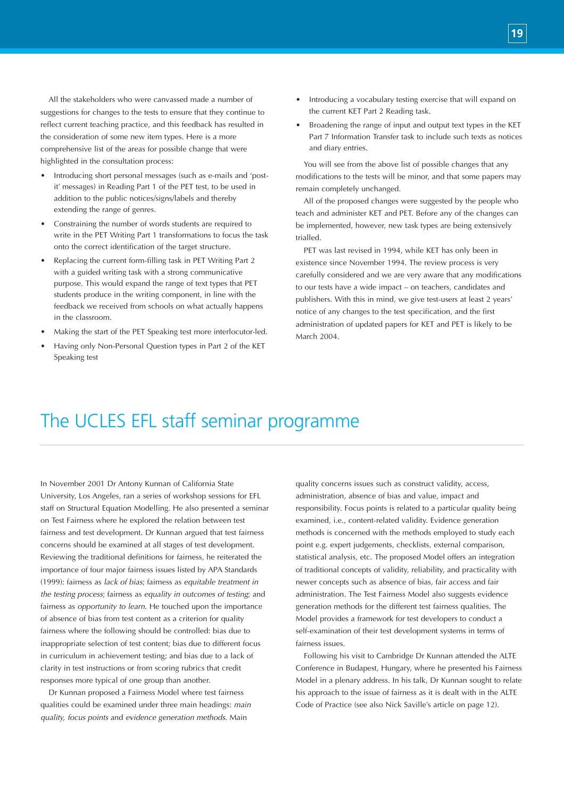All the stakeholders who were canvassed made a number of suggestions for changes to the tests to ensure that they continue to reflect current teaching practice, and this feedback has resulted in the consideration of some new item types. Here is a more comprehensive list of the areas for possible change that were highlighted in the consultation process:

- Introducing short personal messages (such as e-mails and 'postit' messages) in Reading Part 1 of the PET test, to be used in addition to the public notices/signs/labels and thereby extending the range of genres.
- Constraining the number of words students are required to write in the PET Writing Part 1 transformations to focus the task onto the correct identification of the target structure.
- Replacing the current form-filling task in PET Writing Part 2 with a guided writing task with a strong communicative purpose. This would expand the range of text types that PET students produce in the writing component, in line with the feedback we received from schools on what actually happens in the classroom.
- Making the start of the PET Speaking test more interlocutor-led.
- Having only Non-Personal Question types in Part 2 of the KET Speaking test
- Introducing a vocabulary testing exercise that will expand on the current KET Part 2 Reading task.
- Broadening the range of input and output text types in the KET Part 7 Information Transfer task to include such texts as notices and diary entries.

You will see from the above list of possible changes that any modifications to the tests will be minor, and that some papers may remain completely unchanged.

All of the proposed changes were suggested by the people who teach and administer KET and PET. Before any of the changes can be implemented, however, new task types are being extensively trialled.

PET was last revised in 1994, while KET has only been in existence since November 1994. The review process is very carefully considered and we are very aware that any modifications to our tests have a wide impact – on teachers, candidates and publishers. With this in mind, we give test-users at least 2 years' notice of any changes to the test specification, and the first administration of updated papers for KET and PET is likely to be March 2004.

# The UCLES EFL staff seminar programme

In November 2001 Dr Antony Kunnan of California State University, Los Angeles, ran a series of workshop sessions for EFL staff on Structural Equation Modelling. He also presented a seminar on Test Fairness where he explored the relation between test fairness and test development. Dr Kunnan argued that test fairness concerns should be examined at all stages of test development. Reviewing the traditional definitions for fairness, he reiterated the importance of four major fairness issues listed by APA Standards (1999): fairness as *lack of bias*; fairness as *equitable treatment in the testing process*; fairness as *equality in outcomes of testing*; and fairness as *opportunity to learn*. He touched upon the importance of absence of bias from test content as a criterion for quality fairness where the following should be controlled: bias due to inappropriate selection of test content; bias due to different focus in curriculum in achievement testing; and bias due to a lack of clarity in test instructions or from scoring rubrics that credit responses more typical of one group than another.

Dr Kunnan proposed a Fairness Model where test fairness qualities could be examined under three main headings: *main quality, focus points* and *evidence generation methods*. Main

quality concerns issues such as construct validity, access, administration, absence of bias and value, impact and responsibility. Focus points is related to a particular quality being examined, i.e., content-related validity. Evidence generation methods is concerned with the methods employed to study each point e.g. expert judgements, checklists, external comparison, statistical analysis, etc. The proposed Model offers an integration of traditional concepts of validity, reliability, and practicality with newer concepts such as absence of bias, fair access and fair administration. The Test Fairness Model also suggests evidence generation methods for the different test fairness qualities. The Model provides a framework for test developers to conduct a self-examination of their test development systems in terms of fairness issues.

Following his visit to Cambridge Dr Kunnan attended the ALTE Conference in Budapest, Hungary, where he presented his Fairness Model in a plenary address. In his talk, Dr Kunnan sought to relate his approach to the issue of fairness as it is dealt with in the ALTE Code of Practice (see also Nick Saville's article on page 12).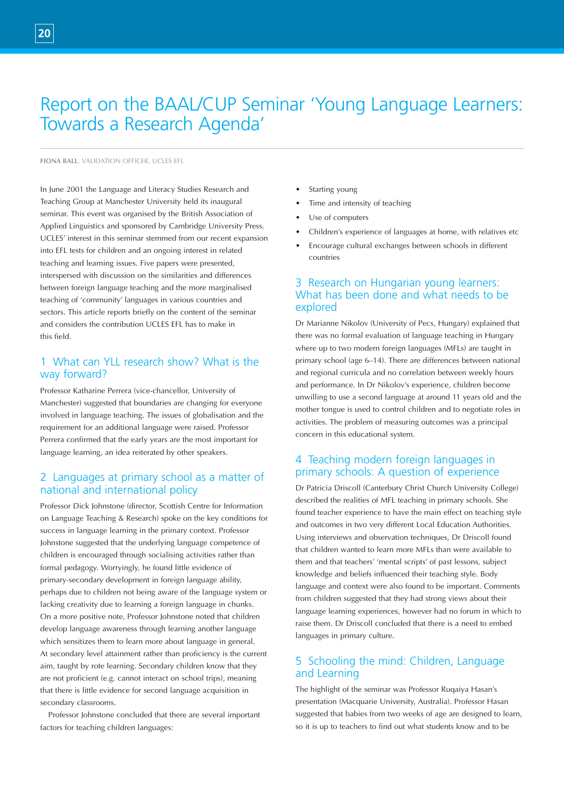# Report on the BAAL/CUP Seminar 'Young Language Learners: Towards a Research Agenda'

**FIONA BALL**, VALIDATION OFFICER, UCLES EFL

In June 2001 the Language and Literacy Studies Research and Teaching Group at Manchester University held its inaugural seminar. This event was organised by the British Association of Applied Linguistics and sponsored by Cambridge University Press. UCLES' interest in this seminar stemmed from our recent expansion into EFL tests for children and an ongoing interest in related teaching and learning issues. Five papers were presented, interspersed with discussion on the similarities and differences between foreign language teaching and the more marginalised teaching of 'community' languages in various countries and sectors. This article reports briefly on the content of the seminar and considers the contribution UCLES EFL has to make in this field.

# 1 What can YLL research show? What is the way forward?

Professor Katharine Perrera (vice-chancellor, University of Manchester) suggested that boundaries are changing for everyone involved in language teaching. The issues of globalisation and the requirement for an additional language were raised. Professor Perrera confirmed that the early years are the most important for language learning, an idea reiterated by other speakers.

# 2 Languages at primary school as a matter of national and international policy

Professor Dick Johnstone (director, Scottish Centre for Information on Language Teaching & Research) spoke on the key conditions for success in language learning in the primary context. Professor Johnstone suggested that the underlying language competence of children is encouraged through socialising activities rather than formal pedagogy. Worryingly, he found little evidence of primary-secondary development in foreign language ability, perhaps due to children not being aware of the language system or lacking creativity due to learning a foreign language in chunks. On a more positive note, Professor Johnstone noted that children develop language awareness through learning another language which sensitizes them to learn more about language in general. At secondary level attainment rather than proficiency is the current aim, taught by rote learning. Secondary children know that they are not proficient (e.g. cannot interact on school trips), meaning that there is little evidence for second language acquisition in secondary classrooms.

Professor Johnstone concluded that there are several important factors for teaching children languages:

- Starting young
- Time and intensity of teaching
- Use of computers
- Children's experience of languages at home, with relatives etc
- Encourage cultural exchanges between schools in different countries

# 3 Research on Hungarian young learners: What has been done and what needs to be explored

Dr Marianne Nikolov (University of Pecs, Hungary) explained that there was no formal evaluation of language teaching in Hungary where up to two modern foreign languages (MFLs) are taught in primary school (age 6–14). There are differences between national and regional curricula and no correlation between weekly hours and performance. In Dr Nikolov's experience, children become unwilling to use a second language at around 11 years old and the mother tongue is used to control children and to negotiate roles in activities. The problem of measuring outcomes was a principal concern in this educational system.

# 4 Teaching modern foreign languages in primary schools: A question of experience

Dr Patricia Driscoll (Canterbury Christ Church University College) described the realities of MFL teaching in primary schools. She found teacher experience to have the main effect on teaching style and outcomes in two very different Local Education Authorities. Using interviews and observation techniques, Dr Driscoll found that children wanted to learn more MFLs than were available to them and that teachers' 'mental scripts' of past lessons, subject knowledge and beliefs influenced their teaching style. Body language and context were also found to be important. Comments from children suggested that they had strong views about their language learning experiences, however had no forum in which to raise them. Dr Driscoll concluded that there is a need to embed languages in primary culture.

# 5 Schooling the mind: Children, Language and Learning

The highlight of the seminar was Professor Ruqaiya Hasan's presentation (Macquarie University, Australia). Professor Hasan suggested that babies from two weeks of age are designed to learn, so it is up to teachers to find out what students know and to be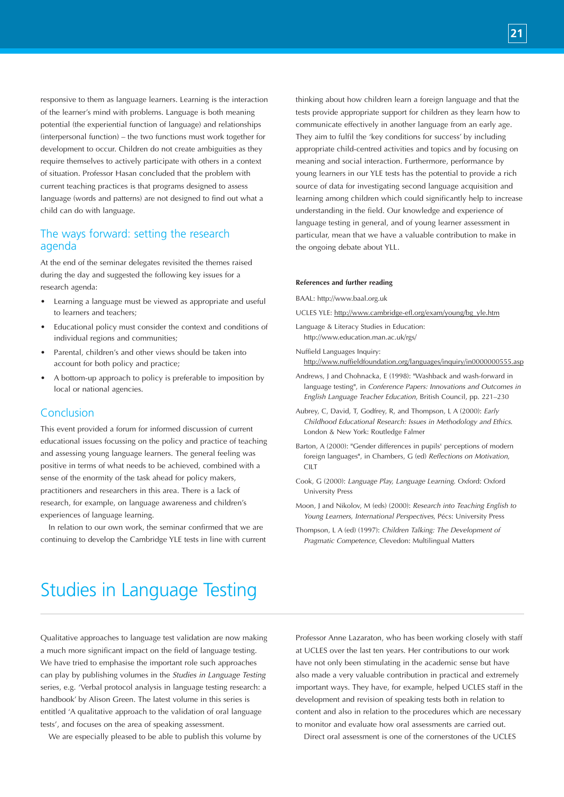responsive to them as language learners. Learning is the interaction of the learner's mind with problems. Language is both meaning potential (the experiential function of language) and relationships (interpersonal function) – the two functions must work together for development to occur. Children do not create ambiguities as they require themselves to actively participate with others in a context of situation. Professor Hasan concluded that the problem with current teaching practices is that programs designed to assess language (words and patterns) are not designed to find out what a child can do with language.

# The ways forward: setting the research agenda

At the end of the seminar delegates revisited the themes raised during the day and suggested the following key issues for a research agenda:

- Learning a language must be viewed as appropriate and useful to learners and teachers;
- Educational policy must consider the context and conditions of individual regions and communities;
- Parental, children's and other views should be taken into account for both policy and practice;
- A bottom-up approach to policy is preferable to imposition by local or national agencies.

# Conclusion

This event provided a forum for informed discussion of current educational issues focussing on the policy and practice of teaching and assessing young language learners. The general feeling was positive in terms of what needs to be achieved, combined with a sense of the enormity of the task ahead for policy makers, practitioners and researchers in this area. There is a lack of research, for example, on language awareness and children's experiences of language learning.

In relation to our own work, the seminar confirmed that we are continuing to develop the Cambridge YLE tests in line with current thinking about how children learn a foreign language and that the tests provide appropriate support for children as they learn how to communicate effectively in another language from an early age. They aim to fulfil the 'key conditions for success' by including appropriate child-centred activities and topics and by focusing on meaning and social interaction. Furthermore, performance by young learners in our YLE tests has the potential to provide a rich source of data for investigating second language acquisition and learning among children which could significantly help to increase understanding in the field. Our knowledge and experience of language testing in general, and of young learner assessment in particular, mean that we have a valuable contribution to make in the ongoing debate about YLL.

#### **References and further reading**

BAAL: http://www.baal.org.uk

- UCLES YLE: http://www.cambridge-efl.org/exam/young/bg\_yle.htm
- Language & Literacy Studies in Education: http://www.education.man.ac.uk/rgs/
- Nuffield Languages Inquiry: http://www.nuffieldfoundation.org/languages/inquiry/in0000000555.asp
- Andrews, J and Chohnacka, E (1998): "Washback and wash-forward in language testing", in *Conference Papers: Innovations and Outcomes in English Language Teacher Education*, British Council, pp. 221–230
- Aubrey, C, David, T, Godfrey, R, and Thompson, L A (2000): *Early Childhood Educational Research: Issues in Methodology and Ethics*. London & New York: Routledge Falmer
- Barton, A (2000): "Gender differences in pupils' perceptions of modern foreign languages", in Chambers, G (ed) *Reflections on Motivation*,  $CIIT$
- Cook, G (2000): *Language Play, Language Learning*. Oxford: Oxford University Press
- Moon, J and Nikolov, M (eds) (2000): *Research into Teaching English to Young Learners, International Perspectives*, Pécs: University Press
- Thompson, L A (ed) (1997): *Children Talking: The Development of Pragmatic Competence*, Clevedon: Multilingual Matters

# Studies in Language Testing

Qualitative approaches to language test validation are now making a much more significant impact on the field of language testing. We have tried to emphasise the important role such approaches can play by publishing volumes in the *Studies in Language Testing* series, e.g. 'Verbal protocol analysis in language testing research: a handbook' by Alison Green. The latest volume in this series is entitled 'A qualitative approach to the validation of oral language tests', and focuses on the area of speaking assessment.

We are especially pleased to be able to publish this volume by

Professor Anne Lazaraton, who has been working closely with staff at UCLES over the last ten years. Her contributions to our work have not only been stimulating in the academic sense but have also made a very valuable contribution in practical and extremely important ways. They have, for example, helped UCLES staff in the development and revision of speaking tests both in relation to content and also in relation to the procedures which are necessary to monitor and evaluate how oral assessments are carried out.

Direct oral assessment is one of the cornerstones of the UCLES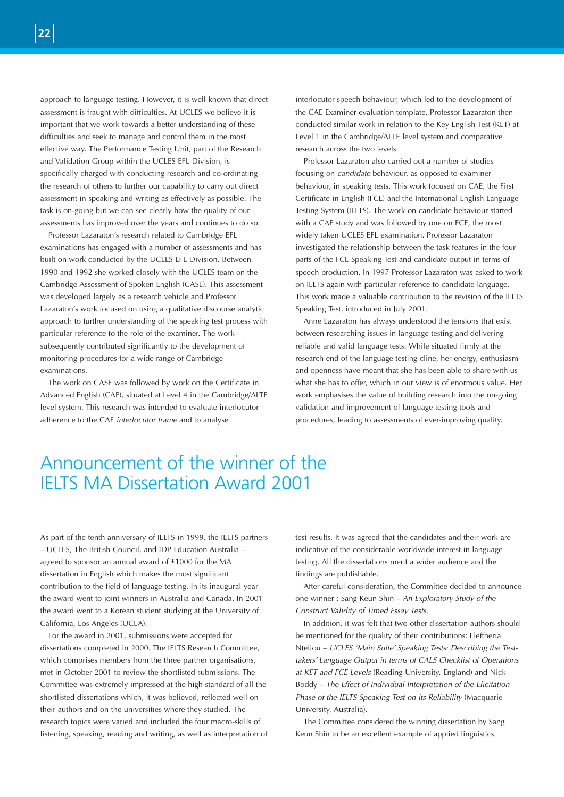approach to language testing. However, it is well known that direct assessment is fraught with difficulties. At UCLES we believe it is important that we work towards a better understanding of these difficulties and seek to manage and control them in the most effective way. The Performance Testing Unit, part of the Research and Validation Group within the UCLES EFL Division, is specifically charged with conducting research and co-ordinating the research of others to further our capability to carry out direct assessment in speaking and writing as effectively as possible. The task is on-going but we can see clearly how the quality of our assessments has improved over the years and continues to do so.

Professor Lazaraton's research related to Cambridge EFL examinations has engaged with a number of assessments and has built on work conducted by the UCLES EFL Division. Between 1990 and 1992 she worked closely with the UCLES team on the Cambridge Assessment of Spoken English (CASE). This assessment was developed largely as a research vehicle and Professor Lazaraton's work focused on using a qualitative discourse analytic approach to further understanding of the speaking test process with particular reference to the role of the examiner. The work subsequently contributed significantly to the development of monitoring procedures for a wide range of Cambridge examinations.

The work on CASE was followed by work on the Certificate in Advanced English (CAE), situated at Level 4 in the Cambridge/ALTE level system. This research was intended to evaluate interlocutor adherence to the CAE *interlocutor frame* and to analyse

interlocutor speech behaviour, which led to the development of the CAE Examiner evaluation template. Professor Lazaraton then conducted similar work in relation to the Key English Test (KET) at Level 1 in the Cambridge/ALTE level system and comparative research across the two levels.

Professor Lazaraton also carried out a number of studies focusing on *candidate* behaviour, as opposed to examiner behaviour, in speaking tests. This work focused on CAE, the First Certificate in English (FCE) and the International English Language Testing System (IELTS). The work on candidate behaviour started with a CAE study and was followed by one on FCE, the most widely taken UCLES EFL examination. Professor Lazaraton investigated the relationship between the task features in the four parts of the FCE Speaking Test and candidate output in terms of speech production. In 1997 Professor Lazaraton was asked to work on IELTS again with particular reference to candidate language. This work made a valuable contribution to the revision of the IELTS Speaking Test, introduced in July 2001.

Anne Lazaraton has always understood the tensions that exist between researching issues in language testing and delivering reliable and valid language tests. While situated firmly at the research end of the language testing cline, her energy, enthusiasm and openness have meant that she has been able to share with us what she has to offer, which in our view is of enormous value. Her work emphasises the value of building research into the on-going validation and improvement of language testing tools and procedures, leading to assessments of ever-improving quality.

# Announcement of the winner of the IELTS MA Dissertation Award 2001

As part of the tenth anniversary of IELTS in 1999, the IELTS partners – UCLES, The British Council, and IDP Education Australia – agreed to sponsor an annual award of £1000 for the MA dissertation in English which makes the most significant contribution to the field of language testing. In its inaugural year the award went to joint winners in Australia and Canada. In 2001 the award went to a Korean student studying at the University of California, Los Angeles (UCLA).

For the award in 2001, submissions were accepted for dissertations completed in 2000. The IELTS Research Committee, which comprises members from the three partner organisations, met in October 2001 to review the shortlisted submissions. The Committee was extremely impressed at the high standard of all the shortlisted dissertations which, it was believed, reflected well on their authors and on the universities where they studied. The research topics were varied and included the four macro-skills of listening, speaking, reading and writing, as well as interpretation of test results. It was agreed that the candidates and their work are indicative of the considerable worldwide interest in language testing. All the dissertations merit a wider audience and the findings are publishable.

After careful consideration, the Committee decided to announce one winner : Sang Keun Shin – *An Exploratory Study of the Construct Validity of Timed Essay Tests.*

In addition, it was felt that two other dissertation authors should be mentioned for the quality of their contributions: Eleftheria Nteliou – *UCLES 'Main Suite' Speaking Tests: Describing the Testtakers' Language Output in terms of CALS Checklist of Operations at KET and FCE Levels* (Reading University, England) and Nick Boddy – *The Effect of Individual Interpretation of the Elicitation Phase of the IELTS Speaking Test on its Reliability* (Macquarie University, Australia).

The Committee considered the winning dissertation by Sang Keun Shin to be an excellent example of applied linguistics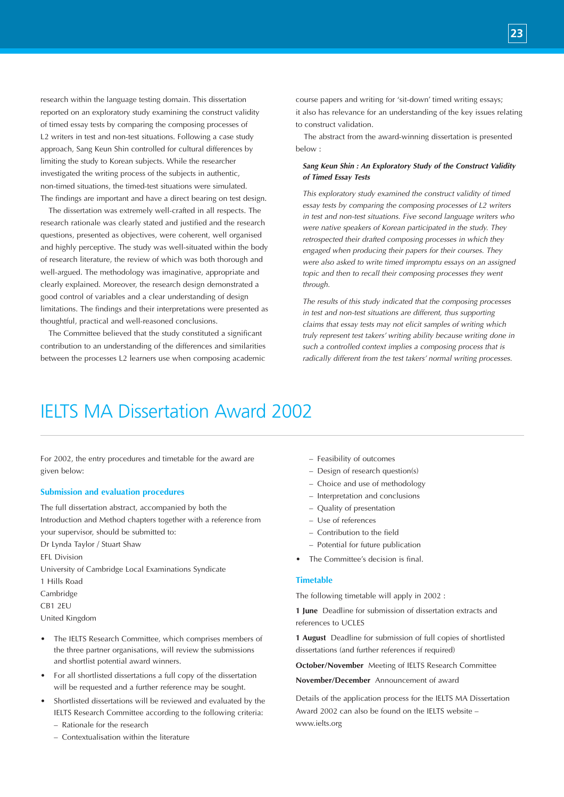research within the language testing domain. This dissertation reported on an exploratory study examining the construct validity of timed essay tests by comparing the composing processes of L2 writers in test and non-test situations. Following a case study approach, Sang Keun Shin controlled for cultural differences by limiting the study to Korean subjects. While the researcher investigated the writing process of the subjects in authentic, non-timed situations, the timed-test situations were simulated. The findings are important and have a direct bearing on test design.

The dissertation was extremely well-crafted in all respects. The research rationale was clearly stated and justified and the research questions, presented as objectives, were coherent, well organised and highly perceptive. The study was well-situated within the body of research literature, the review of which was both thorough and well-argued. The methodology was imaginative, appropriate and clearly explained. Moreover, the research design demonstrated a good control of variables and a clear understanding of design limitations. The findings and their interpretations were presented as thoughtful, practical and well-reasoned conclusions.

The Committee believed that the study constituted a significant contribution to an understanding of the differences and similarities between the processes L2 learners use when composing academic

course papers and writing for 'sit-down' timed writing essays; it also has relevance for an understanding of the key issues relating to construct validation.

**23**

The abstract from the award-winning dissertation is presented below :

#### *Sang Keun Shin : An Exploratory Study of the Construct Validity of Timed Essay Tests*

*This exploratory study examined the construct validity of timed essay tests by comparing the composing processes of L2 writers in test and non-test situations. Five second language writers who were native speakers of Korean participated in the study. They retrospected their drafted composing processes in which they engaged when producing their papers for their courses. They were also asked to write timed impromptu essays on an assigned topic and then to recall their composing processes they went through.*

*The results of this study indicated that the composing processes in test and non-test situations are different, thus supporting claims that essay tests may not elicit samples of writing which truly represent test takers' writing ability because writing done in such a controlled context implies a composing process that is radically different from the test takers' normal writing processes.*

# IELTS MA Dissertation Award 2002

For 2002, the entry procedures and timetable for the award are given below:

#### **Submission and evaluation procedures**

The full dissertation abstract, accompanied by both the Introduction and Method chapters together with a reference from your supervisor, should be submitted to: Dr Lynda Taylor / Stuart Shaw EFL Division University of Cambridge Local Examinations Syndicate 1 Hills Road Cambridge CB1 2EU United Kingdom

- The IELTS Research Committee, which comprises members of the three partner organisations, will review the submissions and shortlist potential award winners.
- For all shortlisted dissertations a full copy of the dissertation will be requested and a further reference may be sought.
- Shortlisted dissertations will be reviewed and evaluated by the IELTS Research Committee according to the following criteria: – Rationale for the research
	- Contextualisation within the literature
- Feasibility of outcomes
- Design of research question(s)
- Choice and use of methodology
- Interpretation and conclusions
- Quality of presentation
- Use of references
- Contribution to the field
- Potential for future publication
- The Committee's decision is final.

#### **Timetable**

The following timetable will apply in 2002 :

**1 June** Deadline for submission of dissertation extracts and references to UCLES

**1 August** Deadline for submission of full copies of shortlisted dissertations (and further references if required)

**October/November** Meeting of IELTS Research Committee

**November/December** Announcement of award

Details of the application process for the IELTS MA Dissertation Award 2002 can also be found on the IELTS website – www.ielts.org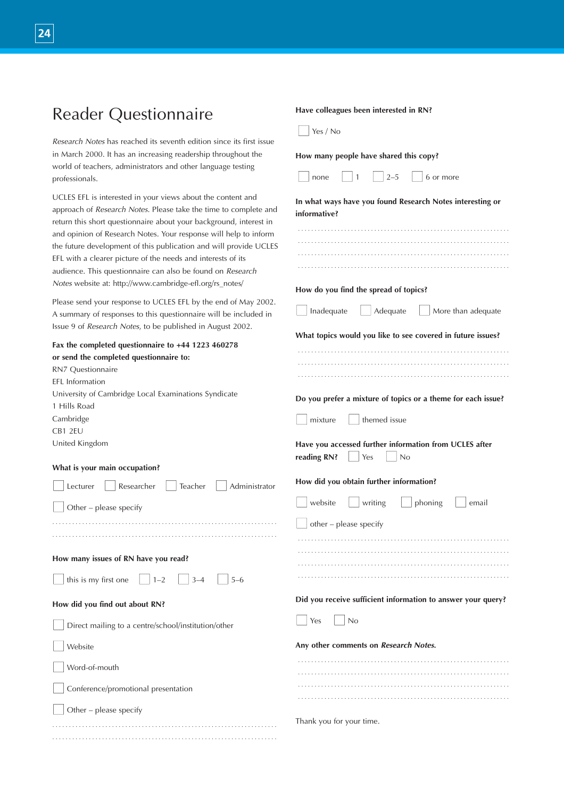| <b>Reader Questionnaire</b>                                                                                                                                                                                                                                                                                                                                                                                                                                                                                                              | Have colleagues been interested in RN?                                                                             |
|------------------------------------------------------------------------------------------------------------------------------------------------------------------------------------------------------------------------------------------------------------------------------------------------------------------------------------------------------------------------------------------------------------------------------------------------------------------------------------------------------------------------------------------|--------------------------------------------------------------------------------------------------------------------|
|                                                                                                                                                                                                                                                                                                                                                                                                                                                                                                                                          | Yes / No                                                                                                           |
| Research Notes has reached its seventh edition since its first issue<br>in March 2000. It has an increasing readership throughout the                                                                                                                                                                                                                                                                                                                                                                                                    | How many people have shared this copy?                                                                             |
| world of teachers, administrators and other language testing<br>professionals.                                                                                                                                                                                                                                                                                                                                                                                                                                                           | $2 - 5$<br>6 or more<br>none                                                                                       |
| UCLES EFL is interested in your views about the content and<br>approach of Research Notes. Please take the time to complete and<br>return this short questionnaire about your background, interest in<br>and opinion of Research Notes. Your response will help to inform<br>the future development of this publication and will provide UCLES<br>EFL with a clearer picture of the needs and interests of its<br>audience. This questionnaire can also be found on Research<br>Notes website at: http://www.cambridge-efl.org/rs_notes/ | In what ways have you found Research Notes interesting or<br>informative?<br>How do you find the spread of topics? |
| Please send your response to UCLES EFL by the end of May 2002.<br>A summary of responses to this questionnaire will be included in<br>Issue 9 of Research Notes, to be published in August 2002.                                                                                                                                                                                                                                                                                                                                         | Inadequate<br>Adequate<br>$\Box$ More than adequate                                                                |
| Fax the completed questionnaire to +44 1223 460278<br>or send the completed questionnaire to:<br>RN7 Questionnaire<br>EFL Information<br>University of Cambridge Local Examinations Syndicate                                                                                                                                                                                                                                                                                                                                            | What topics would you like to see covered in future issues?                                                        |
| 1 Hills Road<br>Cambridge<br>CB1 2EU                                                                                                                                                                                                                                                                                                                                                                                                                                                                                                     | Do you prefer a mixture of topics or a theme for each issue?<br>themed issue<br>mixture                            |
| United Kingdom                                                                                                                                                                                                                                                                                                                                                                                                                                                                                                                           | Have you accessed further information from UCLES after<br>reading RN?<br>No<br>Yes                                 |
| What is your main occupation?                                                                                                                                                                                                                                                                                                                                                                                                                                                                                                            | How did you obtain further information?                                                                            |
| Researcher<br>Teacher<br>Lecturer<br>Administrator<br>Other – please specify                                                                                                                                                                                                                                                                                                                                                                                                                                                             | phoning<br>website<br>writing<br>email                                                                             |
|                                                                                                                                                                                                                                                                                                                                                                                                                                                                                                                                          | other - please specify                                                                                             |
| How many issues of RN have you read?                                                                                                                                                                                                                                                                                                                                                                                                                                                                                                     |                                                                                                                    |
| this is my first one $\Box$ 1-2<br>$3 - 4$<br>$5 - 6$                                                                                                                                                                                                                                                                                                                                                                                                                                                                                    |                                                                                                                    |
| How did you find out about RN?                                                                                                                                                                                                                                                                                                                                                                                                                                                                                                           | Did you receive sufficient information to answer your query?                                                       |
| Direct mailing to a centre/school/institution/other                                                                                                                                                                                                                                                                                                                                                                                                                                                                                      | Yes<br>No                                                                                                          |
| Website                                                                                                                                                                                                                                                                                                                                                                                                                                                                                                                                  | Any other comments on Research Notes.                                                                              |
| Word-of-mouth                                                                                                                                                                                                                                                                                                                                                                                                                                                                                                                            |                                                                                                                    |
| Conference/promotional presentation                                                                                                                                                                                                                                                                                                                                                                                                                                                                                                      |                                                                                                                    |
| Other - please specify                                                                                                                                                                                                                                                                                                                                                                                                                                                                                                                   |                                                                                                                    |
|                                                                                                                                                                                                                                                                                                                                                                                                                                                                                                                                          | Thank you for your time.                                                                                           |

. . . . . . . . . . . . . . . . . . . . . . . . . . . . . . . . . . . . . . . . . . . . . . . . . . . . . . . . . . . . . . . . . . . .